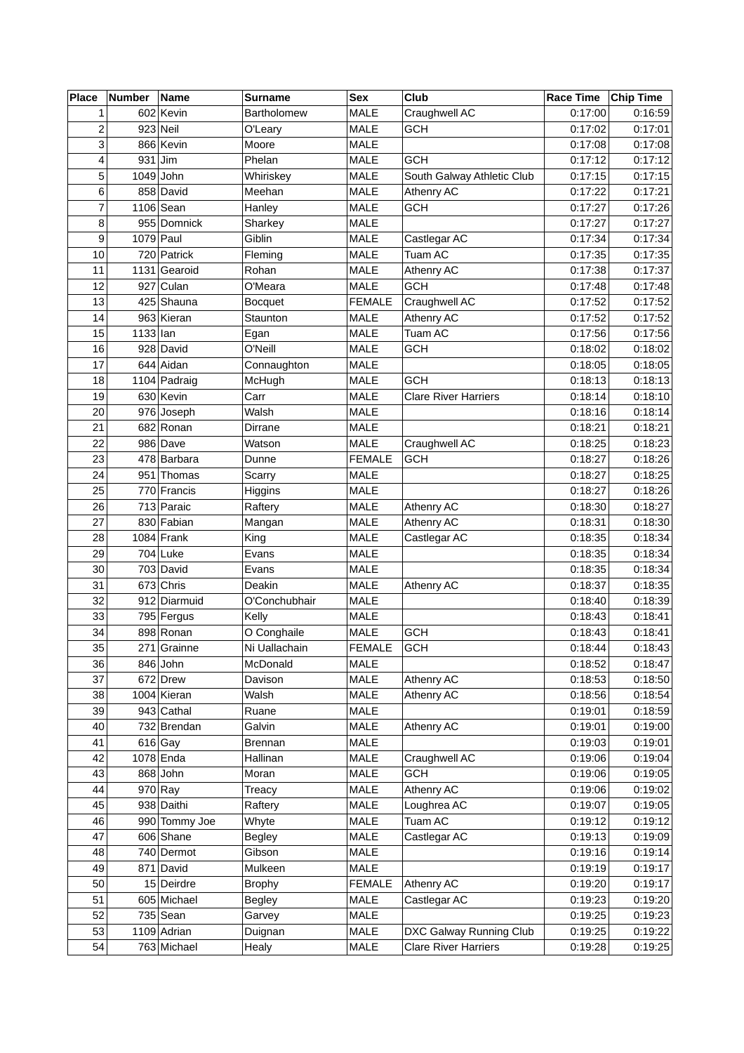| <b>Place</b>            | Number     | Name          | <b>Surname</b>     | <b>Sex</b>    | Club                        | <b>Race Time</b> | <b>Chip Time</b> |
|-------------------------|------------|---------------|--------------------|---------------|-----------------------------|------------------|------------------|
| 1                       |            | 602 Kevin     | <b>Bartholomew</b> | <b>MALE</b>   | Craughwell AC               | 0:17:00          | 0:16:59          |
| $\overline{\mathbf{c}}$ |            | $923$ Neil    | O'Leary            | MALE          | <b>GCH</b>                  | 0:17:02          | 0:17:01          |
| 3                       |            | 866 Kevin     | Moore              | <b>MALE</b>   |                             | 0:17:08          | 0:17:08          |
| 4                       |            | $931$ Jim     | Phelan             | MALE          | <b>GCH</b>                  | 0:17:12          | 0:17:12          |
| 5                       |            | $1049$ John   | Whiriskey          | <b>MALE</b>   | South Galway Athletic Club  | 0:17:15          | 0:17:15          |
| 6                       |            | 858 David     | Meehan             | <b>MALE</b>   | Athenry AC                  | 0:17:22          | 0:17:21          |
| 7                       |            | $1106$ Sean   | Hanley             | MALE          | <b>GCH</b>                  | 0:17:27          | 0:17:26          |
| 8                       |            | 955 Domnick   | Sharkey            | <b>MALE</b>   |                             | 0:17:27          | 0:17:27          |
| 9                       | 1079 Paul  |               | Giblin             | <b>MALE</b>   | Castlegar AC                | 0:17:34          | 0:17:34          |
| 10                      |            | 720 Patrick   | Fleming            | MALE          | Tuam AC                     | 0:17:35          | 0:17:35          |
| 11                      |            | 1131 Gearoid  | Rohan              | MALE          | Athenry AC                  | 0:17:38          | 0:17:37          |
| 12                      |            | 927 Culan     | O'Meara            | <b>MALE</b>   | <b>GCH</b>                  | 0:17:48          | 0:17:48          |
| 13                      |            | 425 Shauna    | <b>Bocquet</b>     | <b>FEMALE</b> | Craughwell AC               | 0:17:52          | 0:17:52          |
| 14                      |            | 963 Kieran    | Staunton           | <b>MALE</b>   | Athenry AC                  | 0:17:52          | 0:17:52          |
| 15                      | $1133$ lan |               | Egan               | MALE          | Tuam AC                     | 0:17:56          | 0:17:56          |
| 16                      |            | 928 David     | O'Neill            | <b>MALE</b>   | <b>GCH</b>                  | 0:18:02          | 0:18:02          |
| 17                      |            | 644 Aidan     | Connaughton        | <b>MALE</b>   |                             | 0:18:05          | 0:18:05          |
| 18                      |            | 1104 Padraig  | McHugh             | <b>MALE</b>   | <b>GCH</b>                  | 0:18:13          | 0:18:13          |
| 19                      |            | 630 Kevin     | Carr               | <b>MALE</b>   | <b>Clare River Harriers</b> | 0:18:14          | 0:18:10          |
| 20                      |            | 976 Joseph    | Walsh              | MALE          |                             | 0:18:16          | 0:18:14          |
| 21                      |            | 682 Ronan     | Dirrane            | <b>MALE</b>   |                             | 0:18:21          | 0:18:21          |
| 22                      |            | 986 Dave      | Watson             | MALE          | Craughwell AC               | 0:18:25          | 0:18:23          |
| 23                      |            | 478 Barbara   | Dunne              | <b>FEMALE</b> | <b>GCH</b>                  | 0:18:27          | 0:18:26          |
| 24                      |            | 951 Thomas    | Scarry             | MALE          |                             | 0:18:27          | 0:18:25          |
| 25                      |            | 770 Francis   | Higgins            | <b>MALE</b>   |                             | 0:18:27          | 0:18:26          |
| 26                      |            | 713 Paraic    | Raftery            | MALE          | Athenry AC                  | 0:18:30          | 0:18:27          |
| 27                      |            | 830 Fabian    | Mangan             | MALE          | Athenry AC                  | 0:18:31          | 0:18:30          |
| 28                      |            | 1084 Frank    | King               | MALE          | Castlegar AC                | 0:18:35          | 0:18:34          |
| 29                      |            | 704 Luke      | Evans              | MALE          |                             | 0:18:35          | 0:18:34          |
| 30                      |            | $703$ David   | Evans              | <b>MALE</b>   |                             | 0:18:35          | 0:18:34          |
| 31                      |            | $673$ Chris   | Deakin             | MALE          | <b>Athenry AC</b>           | 0:18:37          | 0:18:35          |
| 32                      |            | 912 Diarmuid  | O'Conchubhair      | MALE          |                             | 0:18:40          | 0:18:39          |
| 33                      |            | 795 Fergus    | Kelly              | MALE          |                             | 0:18:43          | 0:18:41          |
| 34                      |            | 898 Ronan     | O Conghaile        | <b>MALE</b>   | <b>GCH</b>                  | 0:18:43          | 0:18:41          |
| 35                      |            | 271 Grainne   | Ni Uallachain      | <b>FEMALE</b> | <b>GCH</b>                  | 0:18:44          | 0:18:43          |
| 36                      |            | $846$ John    | McDonald           | <b>MALE</b>   |                             | 0:18:52          | 0:18:47          |
| 37                      |            | 672 Drew      | Davison            | MALE          | Athenry AC                  | 0:18:53          | 0:18:50          |
| 38                      |            | 1004 Kieran   | Walsh              | MALE          | Athenry AC                  | 0:18:56          | 0:18:54          |
| 39                      |            | 943 Cathal    | Ruane              | MALE          |                             | 0:19:01          | 0:18:59          |
| 40                      |            | 732 Brendan   | Galvin             | MALE          | Athenry AC                  | 0:19:01          | 0:19:00          |
| 41                      |            | $616$ Gay     | <b>Brennan</b>     | <b>MALE</b>   |                             | 0:19:03          | 0:19:01          |
| 42                      |            | 1078 Enda     | Hallinan           | MALE          | Craughwell AC               | 0:19:06          | 0:19:04          |
| 43                      |            | $868$ John    | Moran              | MALE          | <b>GCH</b>                  | 0:19:06          | 0:19:05          |
| 44                      |            | $970$ Ray     | <b>Treacy</b>      | MALE          | Athenry AC                  | 0:19:06          | 0:19:02          |
| 45                      |            | 938 Daithi    | Raftery            | MALE          | Loughrea AC                 | 0:19:07          | 0:19:05          |
| 46                      |            | 990 Tommy Joe | Whyte              | <b>MALE</b>   | Tuam AC                     | 0:19:12          | 0:19:12          |
| 47                      |            | 606 Shane     | Begley             | MALE          | Castlegar AC                | 0:19:13          | 0:19:09          |
| 48                      |            | 740 Dermot    | Gibson             | MALE          |                             | 0:19:16          | 0:19:14          |
| 49                      |            | 871 David     | Mulkeen            | <b>MALE</b>   |                             | 0:19:19          | 0:19:17          |
| 50                      |            | $15$ Deirdre  | <b>Brophy</b>      | <b>FEMALE</b> | Athenry AC                  | 0:19:20          | 0:19:17          |
| 51                      |            | 605 Michael   | <b>Begley</b>      | MALE          | Castlegar AC                | 0:19:23          | 0:19:20          |
| 52                      |            | $735$ Sean    | Garvey             | MALE          |                             | 0:19:25          | 0:19:23          |
| 53                      |            | 1109 Adrian   | Duignan            | MALE          | DXC Galway Running Club     | 0:19:25          | 0:19:22          |
| 54                      |            | 763 Michael   | Healy              | MALE          | <b>Clare River Harriers</b> | 0:19:28          | 0:19:25          |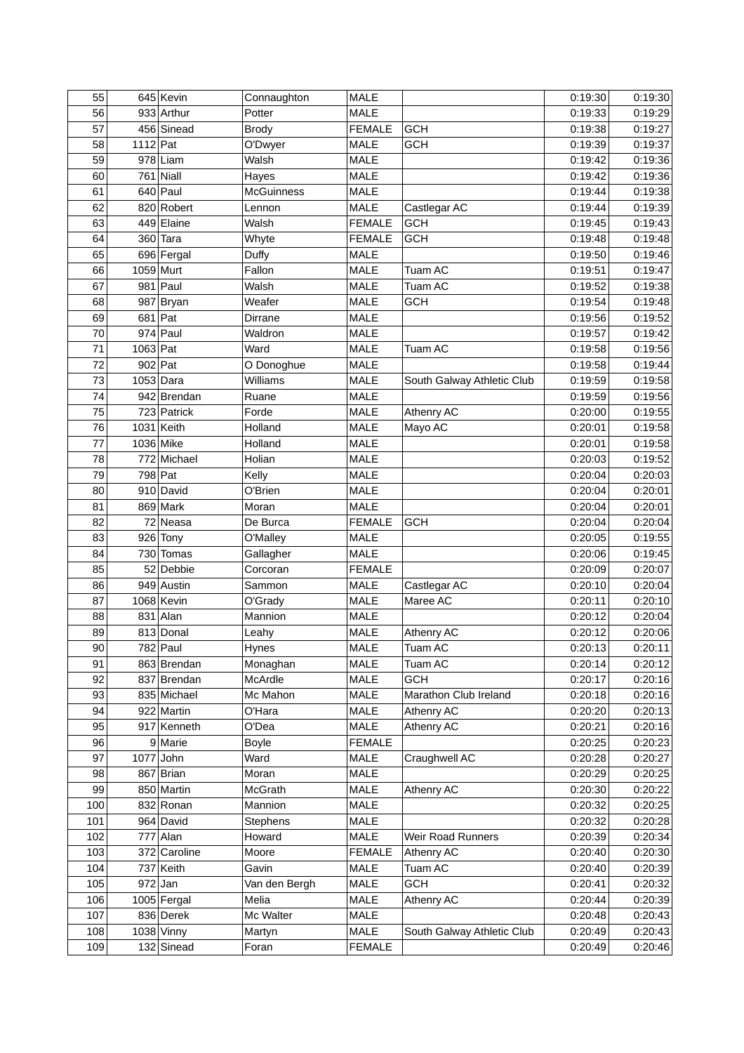| 55  |            | 645 Kevin     | Connaughton       | <b>MALE</b>   |                            | 0:19:30 | 0:19:30 |
|-----|------------|---------------|-------------------|---------------|----------------------------|---------|---------|
| 56  |            | 933 Arthur    | Potter            | <b>MALE</b>   |                            | 0:19:33 | 0:19:29 |
| 57  |            | 456 Sinead    | <b>Brody</b>      | <b>FEMALE</b> | <b>GCH</b>                 | 0:19:38 | 0:19:27 |
| 58  | $1112$ Pat |               | O'Dwyer           | <b>MALE</b>   | <b>GCH</b>                 | 0:19:39 | 0:19:37 |
| 59  |            | $978$ Liam    | Walsh             | <b>MALE</b>   |                            | 0:19:42 | 0:19:36 |
| 60  |            | $761$ Niall   | Hayes             | <b>MALE</b>   |                            | 0:19:42 | 0:19:36 |
| 61  |            | $640$ Paul    | <b>McGuinness</b> | <b>MALE</b>   |                            | 0:19:44 | 0:19:38 |
| 62  |            | 820 Robert    | Lennon            | MALE          | Castlegar AC               | 0:19:44 | 0:19:39 |
| 63  |            | 449 Elaine    | Walsh             | <b>FEMALE</b> | <b>GCH</b>                 | 0:19:45 | 0:19:43 |
| 64  |            | 360 Tara      | Whyte             | <b>FEMALE</b> | <b>GCH</b>                 | 0:19:48 | 0:19:48 |
| 65  |            | 696 Fergal    | Duffy             | <b>MALE</b>   |                            | 0:19:50 | 0:19:46 |
| 66  |            | 1059 Murt     | Fallon            | MALE          | Tuam AC                    | 0:19:51 | 0:19:47 |
| 67  |            | $981$ Paul    | Walsh             | <b>MALE</b>   | Tuam AC                    | 0:19:52 | 0:19:38 |
| 68  |            | 987 Bryan     | Weafer            | <b>MALE</b>   | <b>GCH</b>                 | 0:19:54 | 0:19:48 |
| 69  | $681$ Pat  |               | Dirrane           | MALE          |                            | 0:19:56 | 0:19:52 |
| 70  |            | $974$ Paul    | Waldron           | <b>MALE</b>   |                            | 0:19:57 | 0:19:42 |
| 71  | 1063 Pat   |               | Ward              | <b>MALE</b>   | Tuam AC                    | 0:19:58 | 0:19:56 |
| 72  |            | $902$ Pat     | O Donoghue        | <b>MALE</b>   |                            | 0:19:58 | 0:19:44 |
| 73  |            | $1053$ Dara   | Williams          | MALE          | South Galway Athletic Club | 0:19:59 | 0:19:58 |
| 74  |            | 942 Brendan   | Ruane             | <b>MALE</b>   |                            | 0:19:59 | 0:19:56 |
| 75  |            | 723 Patrick   | Forde             | <b>MALE</b>   | Athenry AC                 | 0:20:00 | 0:19:55 |
| 76  |            | $1031$ Keith  | Holland           | <b>MALE</b>   | Mayo AC                    | 0:20:01 | 0:19:58 |
| 77  |            | 1036 Mike     | Holland           | <b>MALE</b>   |                            | 0:20:01 | 0:19:58 |
| 78  |            | 772 Michael   | Holian            | <b>MALE</b>   |                            | 0:20:03 | 0:19:52 |
| 79  |            | 798 Pat       | Kelly             | MALE          |                            | 0:20:04 | 0:20:03 |
| 80  |            | 910 David     | O'Brien           | <b>MALE</b>   |                            | 0:20:04 | 0:20:01 |
| 81  |            | $869$ Mark    | Moran             | <b>MALE</b>   |                            | 0:20:04 | 0:20:01 |
| 82  |            | 72 Neasa      | De Burca          | <b>FEMALE</b> | <b>GCH</b>                 | 0:20:04 | 0:20:04 |
| 83  |            | 926 Tony      | O'Malley          | MALE          |                            | 0:20:05 | 0:19:55 |
| 84  |            | 730 Tomas     | Gallagher         | MALE          |                            | 0:20:06 | 0:19:45 |
| 85  |            | 52 Debbie     | Corcoran          | <b>FEMALE</b> |                            | 0:20:09 | 0:20:07 |
| 86  |            | 949 Austin    | Sammon            | MALE          | Castlegar AC               | 0:20:10 | 0:20:04 |
| 87  |            | $1068$ Kevin  | O'Grady           | MALE          | Maree AC                   | 0:20:11 | 0:20:10 |
| 88  |            | $831$ Alan    | Mannion           | <b>MALE</b>   |                            | 0:20:12 | 0:20:04 |
| 89  |            | 813 Donal     | Leahy             | MALE          | Athenry AC                 | 0:20:12 | 0:20:06 |
| 90  |            | $782$ Paul    | Hynes             | <b>MALE</b>   | Tuam AC                    | 0:20:13 | 0:20:11 |
| 91  |            | 863 Brendan   | Monaghan          | MALE          | Tuam AC                    | 0:20:14 | 0:20:12 |
| 92  |            | 837 Brendan   | McArdle           | MALE          | <b>GCH</b>                 | 0:20:17 | 0:20:16 |
| 93  |            | 835 Michael   | Mc Mahon          | MALE          | Marathon Club Ireland      | 0:20:18 | 0:20:16 |
| 94  |            | 922 Martin    | O'Hara            | MALE          | Athenry AC                 | 0:20:20 | 0:20:13 |
| 95  |            | 917 Kenneth   | O'Dea             | MALE          | Athenry AC                 | 0:20:21 | 0:20:16 |
| 96  |            | 9 Marie       | <b>Boyle</b>      | <b>FEMALE</b> |                            | 0:20:25 | 0:20:23 |
| 97  |            | $1077$ John   | Ward              | MALE          | Craughwell AC              | 0:20:28 | 0:20:27 |
| 98  |            | 867 Brian     | Moran             | MALE          |                            | 0:20:29 | 0:20:25 |
| 99  |            | 850 Martin    | McGrath           | MALE          | Athenry AC                 | 0:20:30 | 0:20:22 |
| 100 |            | 832 Ronan     | Mannion           | MALE          |                            | 0:20:32 | 0:20:25 |
| 101 |            | 964 David     | Stephens          | MALE          |                            | 0:20:32 | 0:20:28 |
| 102 |            | $777$ Alan    | Howard            | MALE          | Weir Road Runners          | 0:20:39 | 0:20:34 |
| 103 |            | 372 Caroline  | Moore             | <b>FEMALE</b> | Athenry AC                 | 0:20:40 | 0:20:30 |
| 104 |            | 737 Keith     | Gavin             | MALE          | Tuam AC                    | 0:20:40 | 0:20:39 |
| 105 |            | $972$ Jan     | Van den Bergh     | MALE          | <b>GCH</b>                 | 0:20:41 | 0:20:32 |
| 106 |            | $1005$ Fergal | Melia             | MALE          | Athenry AC                 | 0:20:44 | 0:20:39 |
| 107 |            | 836 Derek     | Mc Walter         | MALE          |                            | 0:20:48 | 0:20:43 |
| 108 |            | $1038$ Vinny  | Martyn            | MALE          | South Galway Athletic Club | 0:20:49 | 0:20:43 |
| 109 |            | 132 Sinead    | Foran             | <b>FEMALE</b> |                            | 0:20:49 | 0:20:46 |
|     |            |               |                   |               |                            |         |         |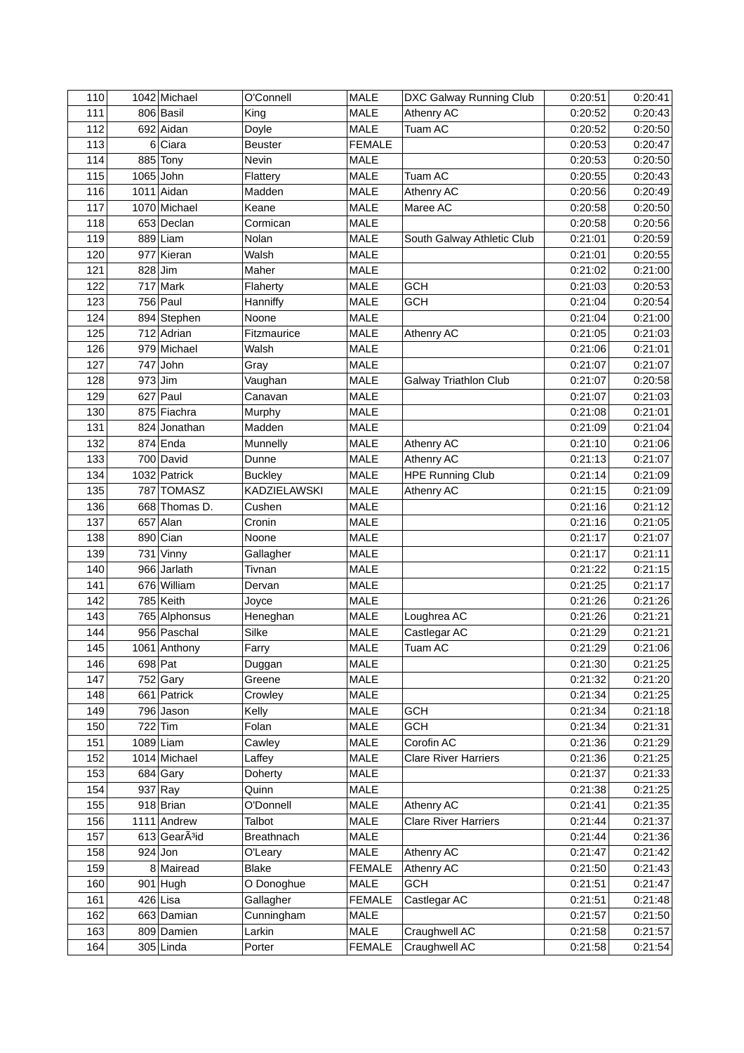| 110 |   | 1042 Michael                           | O'Connell           | <b>MALE</b>   | DXC Galway Running Club     | 0:20:51 | 0:20:41 |
|-----|---|----------------------------------------|---------------------|---------------|-----------------------------|---------|---------|
| 111 |   | 806 Basil                              | King                | <b>MALE</b>   | Athenry AC                  | 0:20:52 | 0:20:43 |
| 112 |   | 692 Aidan                              | Doyle               | <b>MALE</b>   | Tuam AC                     | 0:20:52 | 0:20:50 |
| 113 | 6 | Ciara                                  | Beuster             | <b>FEMALE</b> |                             | 0:20:53 | 0:20:47 |
| 114 |   | 885 Tony                               | Nevin               | <b>MALE</b>   |                             | 0:20:53 | 0:20:50 |
| 115 |   | $1065$ John                            | Flattery            | <b>MALE</b>   | <b>Tuam AC</b>              | 0:20:55 | 0:20:43 |
| 116 |   | $1011$ Aidan                           | Madden              | <b>MALE</b>   | Athenry AC                  | 0:20:56 | 0:20:49 |
| 117 |   | 1070 Michael                           | Keane               | <b>MALE</b>   | Maree AC                    | 0:20:58 | 0:20:50 |
| 118 |   | 653 Declan                             | Cormican            | <b>MALE</b>   |                             | 0:20:58 | 0:20:56 |
| 119 |   | 889 Liam                               | Nolan               | MALE          | South Galway Athletic Club  | 0:21:01 | 0:20:59 |
| 120 |   | 977 Kieran                             | Walsh               | <b>MALE</b>   |                             | 0:21:01 | 0:20:55 |
| 121 |   | $828$ Jim                              | Maher               | MALE          |                             | 0:21:02 | 0:21:00 |
| 122 |   | $717$ Mark                             | Flaherty            | <b>MALE</b>   | <b>GCH</b>                  | 0:21:03 | 0:20:53 |
| 123 |   | 756 Paul                               | Hanniffy            | MALE          | <b>GCH</b>                  | 0:21:04 | 0:20:54 |
| 124 |   | 894 Stephen                            | Noone               | <b>MALE</b>   |                             | 0:21:04 | 0:21:00 |
| 125 |   | 712 Adrian                             | Fitzmaurice         | MALE          | Athenry AC                  | 0:21:05 | 0:21:03 |
| 126 |   | 979 Michael                            | Walsh               | <b>MALE</b>   |                             | 0:21:06 | 0:21:01 |
| 127 |   | $747$ John                             | Gray                | <b>MALE</b>   |                             | 0:21:07 | 0:21:07 |
| 128 |   | $973$ Jim                              | Vaughan             | MALE          | Galway Triathlon Club       | 0:21:07 | 0:20:58 |
| 129 |   | $627$ Paul                             | Canavan             | <b>MALE</b>   |                             | 0:21:07 | 0:21:03 |
| 130 |   | 875 Fiachra                            | Murphy              | <b>MALE</b>   |                             | 0:21:08 | 0:21:01 |
| 131 |   | 824 Jonathan                           | Madden              | <b>MALE</b>   |                             | 0:21:09 | 0:21:04 |
| 132 |   | $874$ Enda                             |                     | MALE          |                             | 0:21:10 | 0:21:06 |
|     |   |                                        | Munnelly            |               | Athenry AC                  |         |         |
| 133 |   | 700 David                              | Dunne               | MALE          | Athenry AC                  | 0:21:13 | 0:21:07 |
| 134 |   | 1032 Patrick                           | <b>Buckley</b>      | MALE          | <b>HPE Running Club</b>     | 0:21:14 | 0:21:09 |
| 135 |   | 787 TOMASZ                             | <b>KADZIELAWSKI</b> | MALE          | Athenry AC                  | 0:21:15 | 0:21:09 |
| 136 |   | 668 Thomas D.                          | Cushen              | MALE          |                             | 0:21:16 | 0:21:12 |
| 137 |   | $657$ Alan                             | Cronin              | MALE          |                             | 0:21:16 | 0:21:05 |
| 138 |   | $890$ Cian                             | Noone               | MALE          |                             | 0:21:17 | 0:21:07 |
| 139 |   | $731$ Vinny                            | Gallagher           | MALE          |                             | 0:21:17 | 0:21:11 |
| 140 |   | 966 Jarlath                            | Tivnan              | MALE          |                             | 0:21:22 | 0:21:15 |
| 141 |   | 676 William                            | Dervan              | MALE          |                             | 0:21:25 | 0:21:17 |
| 142 |   | 785 Keith                              | Joyce               | MALE          |                             | 0:21:26 | 0:21:26 |
| 143 |   | 765 Alphonsus                          | Heneghan            | MALE          | Loughrea AC                 | 0:21:26 | 0:21:21 |
| 144 |   | 956 Paschal                            | Silke               | MALE          | Castlegar AC                | 0:21:29 | 0:21:21 |
| 145 |   | 1061 Anthony                           | Farry               | MALE          | Tuam AC                     | 0:21:29 | 0:21:06 |
| 146 |   | 698 $Pat$                              | Duggan              | MALE          |                             | 0:21:30 | 0:21:25 |
| 147 |   | 752 Gary                               | Greene              | <b>MALE</b>   |                             | 0:21:32 | 0:21:20 |
| 148 |   | 661 Patrick                            | Crowley             | MALE          |                             | 0:21:34 | 0:21:25 |
| 149 |   | 796 Jason                              | Kelly               | MALE          | <b>GCH</b>                  | 0:21:34 | 0:21:18 |
| 150 |   | $722$ Tim                              | Folan               | MALE          | <b>GCH</b>                  | 0:21:34 | 0:21:31 |
| 151 |   | $1089$ Liam                            | Cawley              | MALE          | Corofin AC                  | 0:21:36 | 0:21:29 |
| 152 |   | 1014 Michael                           | Laffey              | MALE          | <b>Clare River Harriers</b> | 0:21:36 | 0:21:25 |
| 153 |   | $684$ Gary                             | Doherty             | MALE          |                             | 0:21:37 | 0:21:33 |
| 154 |   | $937$ Ray                              | Quinn               | MALE          |                             | 0:21:38 | 0:21:25 |
| 155 |   | 918 Brian                              | O'Donnell           | MALE          | Athenry AC                  | 0:21:41 | 0:21:35 |
| 156 |   | 1111 Andrew                            | Talbot              | <b>MALE</b>   | <b>Clare River Harriers</b> | 0:21:44 | 0:21:37 |
| 157 |   | $613$ Gear $\tilde{A}$ <sup>3</sup> id | <b>Breathnach</b>   | MALE          |                             | 0:21:44 | 0:21:36 |
| 158 |   | $924$ Jon                              | O'Leary             | <b>MALE</b>   | Athenry AC                  | 0:21:47 | 0:21:42 |
| 159 |   | 8 Mairead                              | <b>Blake</b>        | <b>FEMALE</b> | Athenry AC                  | 0:21:50 | 0:21:43 |
| 160 |   | $901$ Hugh                             | O Donoghue          | <b>MALE</b>   | <b>GCH</b>                  | 0:21:51 | 0:21:47 |
| 161 |   | $426$ Lisa                             | Gallagher           | <b>FEMALE</b> | Castlegar AC                | 0:21:51 | 0:21:48 |
| 162 |   | 663 Damian                             | Cunningham          | <b>MALE</b>   |                             | 0:21:57 | 0:21:50 |
| 163 |   | 809 Damien                             | Larkin              | MALE          | Craughwell AC               | 0:21:58 | 0:21:57 |
| 164 |   | 305 Linda                              | Porter              | <b>FEMALE</b> | Craughwell AC               | 0:21:58 | 0:21:54 |
|     |   |                                        |                     |               |                             |         |         |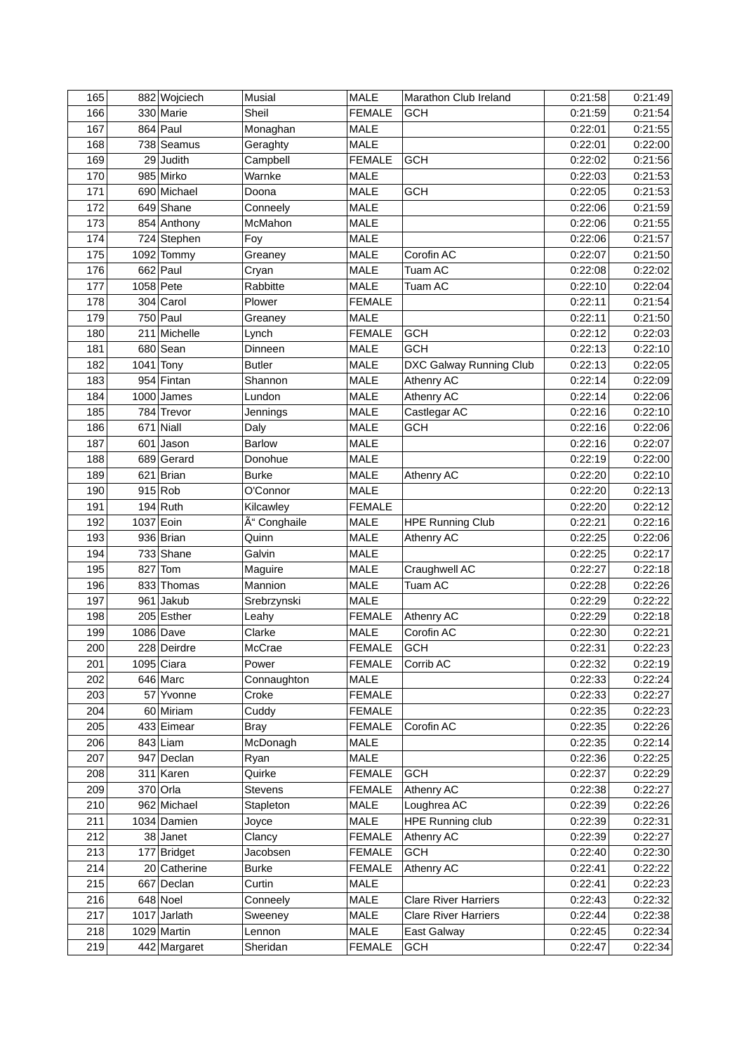| 165        | 882 Wojciech   | Musial               | <b>MALE</b>                    | Marathon Club Ireland           | 0:21:58            | 0:21:49            |
|------------|----------------|----------------------|--------------------------------|---------------------------------|--------------------|--------------------|
| 166        | 330 Marie      | Sheil                | <b>FEMALE</b>                  | <b>GCH</b>                      | 0:21:59            | 0:21:54            |
| 167        | $864$ Paul     | Monaghan             | MALE                           |                                 | 0:22:01            | 0:21:55            |
| 168        | 738 Seamus     | Geraghty             | <b>MALE</b>                    |                                 | 0:22:01            | 0:22:00            |
| 169        | $29$ Judith    | Campbell             | <b>FEMALE</b>                  | <b>GCH</b>                      | 0:22:02            | 0:21:56            |
| 170        | 985 Mirko      | Warnke               | <b>MALE</b>                    |                                 | 0:22:03            | 0:21:53            |
| 171        | 690 Michael    | Doona                | <b>MALE</b>                    | <b>GCH</b>                      | 0:22:05            | 0:21:53            |
| 172        | $649$ Shane    | Conneely             | MALE                           |                                 | 0:22:06            | 0:21:59            |
| 173        | 854 Anthony    | McMahon              | <b>MALE</b>                    |                                 | 0:22:06            | 0:21:55            |
| 174        | 724 Stephen    | Foy                  | <b>MALE</b>                    |                                 | 0:22:06            | 0:21:57            |
| 175        | 1092 Tommy     | Greaney              | <b>MALE</b>                    | Corofin AC                      | 0:22:07            | 0:21:50            |
| 176        | $662$ Paul     | Cryan                | MALE                           | Tuam AC                         | 0:22:08            | 0:22:02            |
| 177        | $1058$ Pete    | Rabbitte             | MALE                           | Tuam AC                         | 0:22:10            | 0:22:04            |
| 178        | $304$ Carol    | Plower               | <b>FEMALE</b>                  |                                 | 0:22:11            | 0:21:54            |
| 179        | $750$ Paul     | Greaney              | <b>MALE</b>                    |                                 | 0:22:11            | 0:21:50            |
| 180        | 211 Michelle   | Lynch                | <b>FEMALE</b>                  | <b>GCH</b>                      | 0:22:12            | 0:22:03            |
| 181        | 680 Sean       | Dinneen              | <b>MALE</b>                    | <b>GCH</b>                      | 0:22:13            | 0:22:10            |
| 182        | $1041$ Tony    | <b>Butler</b>        | <b>MALE</b>                    | DXC Galway Running Club         | 0:22:13            | 0:22:05            |
| 183        | 954 Fintan     | Shannon              | MALE                           | Athenry AC                      | 0:22:14            | 0:22:09            |
| 184        | 1000 James     | Lundon               | <b>MALE</b>                    | Athenry AC                      | 0:22:14            | 0:22:06            |
| 185        | 784 Trevor     | Jennings             | MALE                           | Castlegar AC                    | 0:22:16            | 0:22:10            |
| 186        | $671$ Niall    | Daly                 | MALE                           | <b>GCH</b>                      | 0:22:16            | 0:22:06            |
| 187        | $601$ Jason    | <b>Barlow</b>        | MALE                           |                                 | 0:22:16            | 0:22:07            |
| 188        | 689 Gerard     | Donohue              | MALE                           |                                 | 0:22:19            | 0:22:00            |
| 189        | 621 Brian      | <b>Burke</b>         | MALE                           | Athenry AC                      | 0:22:20            | 0:22:10            |
| 190        | 915 Rob        | O'Connor             | <b>MALE</b>                    |                                 | 0:22:20            | 0:22:13            |
| 191        | $194$ Ruth     | Kilcawley            | <b>FEMALE</b>                  |                                 | 0:22:20            | 0:22:12            |
| 192        | 1037 Eoin      | Ó Conghaile          | <b>MALE</b>                    | <b>HPE Running Club</b>         | 0:22:21            | 0:22:16            |
| 193        | 936 Brian      | Quinn                | <b>MALE</b>                    | Athenry AC                      | 0:22:25            | 0:22:06            |
| 194        | 733 Shane      | Galvin               | <b>MALE</b>                    |                                 | 0:22:25            | 0:22:17            |
| 195        | $827$ Tom      | Maguire              | <b>MALE</b>                    | Craughwell AC                   | 0:22:27            | 0:22:18            |
| 196        | 833 Thomas     | Mannion              | <b>MALE</b>                    | Tuam AC                         | 0:22:28            | 0:22:26            |
| 197        | $961$ Jakub    | Srebrzynski          | MALE                           |                                 | 0:22:29            | 0:22:22            |
| 198        | 205 Esther     | Leahy                | <b>FEMALE</b>                  | Athenry AC                      | 0:22:29            | 0:22:18            |
| 199        | 1086 Dave      | Clarke               | <b>MALE</b>                    | Corofin AC                      | 0:22:30            | 0:22:21            |
| 200        | 228 Deirdre    | McCrae               | <b>FEMALE</b>                  | <b>GCH</b>                      | 0:22:31            | 0:22:23            |
| 201        | $1095$ Ciara   | Power                | <b>FEMALE</b>                  | Corrib AC                       | 0:22:32            | 0:22:19            |
| 202        | $646$ Marc     | Connaughton          | MALE                           |                                 | 0:22:33            | 0:22:24            |
| 203        | 57 Yvonne      | Croke                | <b>FEMALE</b>                  |                                 | 0:22:33            | 0:22:27            |
| 204        | 60 Miriam      | Cuddy                | <b>FEMALE</b>                  |                                 | 0:22:35            | 0:22:23            |
| 205        | 433 Eimear     | <b>Bray</b>          | <b>FEMALE</b>                  | Corofin AC                      | 0:22:35            | 0:22:26            |
| 206        | $843$ Liam     | McDonagh             | <b>MALE</b>                    |                                 | 0:22:35            | 0:22:14            |
| 207        | 947 Declan     |                      | MALE                           |                                 | 0:22:36            | 0:22:25            |
| 208        | 311 Karen      | Ryan<br>Quirke       | <b>FEMALE</b>                  | <b>GCH</b>                      | 0:22:37            | 0:22:29            |
| 209        | 370 Orla       |                      |                                |                                 |                    |                    |
|            | 962 Michael    | Stevens<br>Stapleton | <b>FEMALE</b>                  | Athenry AC                      | 0:22:38            | 0:22:27            |
| 210<br>211 | 1034 Damien    |                      | <b>MALE</b><br><b>MALE</b>     | Loughrea AC<br>HPE Running club | 0:22:39<br>0:22:39 | 0:22:26            |
| 212        | 38 Janet       | Joyce<br>Clancy      |                                | Athenry AC                      | 0:22:39            | 0:22:31<br>0:22:27 |
| 213        |                |                      | <b>FEMALE</b><br><b>FEMALE</b> | <b>GCH</b>                      | 0:22:40            | 0:22:30            |
| 214        | 177 Bridget    | Jacobsen             |                                | Athenry AC                      | 0:22:41            | 0:22:22            |
|            | 20 Catherine   | <b>Burke</b>         | <b>FEMALE</b>                  |                                 |                    |                    |
| 215        | 667 Declan     | Curtin               | MALE                           |                                 | 0:22:41            | 0:22:23            |
| 216        | $648$ Noel     | Conneely             | <b>MALE</b>                    | <b>Clare River Harriers</b>     | 0:22:43            | 0:22:32            |
| 217        | $1017$ Jarlath | Sweeney              | MALE                           | <b>Clare River Harriers</b>     | 0:22:44            | 0:22:38            |
| 218        | 1029 Martin    | Lennon               | MALE                           | East Galway                     | 0:22:45            | 0:22:34            |
| 219        | 442 Margaret   | Sheridan             | <b>FEMALE</b>                  | <b>GCH</b>                      | 0:22:47            | 0:22:34            |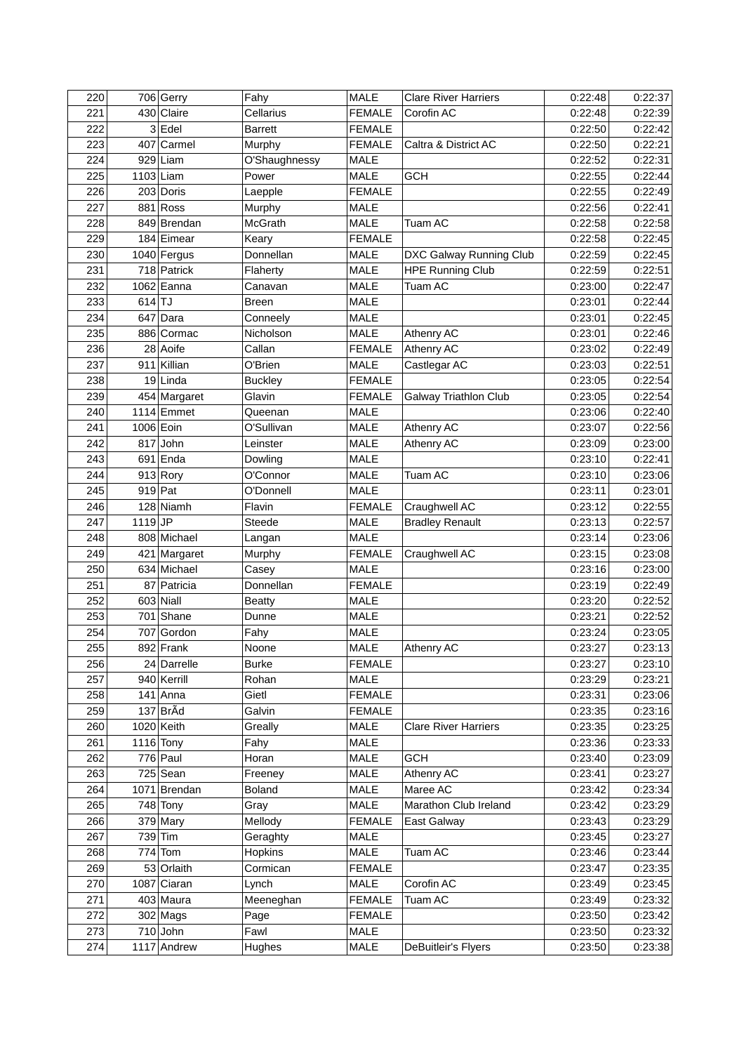| 220 |           | 706 Gerry    | Fahy           | <b>MALE</b>   | <b>Clare River Harriers</b> | 0:22:48 | 0:22:37 |
|-----|-----------|--------------|----------------|---------------|-----------------------------|---------|---------|
| 221 |           | 430 Claire   | Cellarius      | <b>FEMALE</b> | Corofin AC                  | 0:22:48 | 0:22:39 |
| 222 |           | $3$ Edel     | <b>Barrett</b> | <b>FEMALE</b> |                             | 0:22:50 | 0:22:42 |
| 223 |           | 407 Carmel   | Murphy         | <b>FEMALE</b> | Caltra & District AC        | 0:22:50 | 0:22:21 |
| 224 |           | $929$ Liam   | O'Shaughnessy  | MALE          |                             | 0:22:52 | 0:22:31 |
| 225 |           | $1103$ Liam  | Power          | <b>MALE</b>   | <b>GCH</b>                  | 0:22:55 | 0:22:44 |
| 226 |           | 203 Doris    | Laepple        | <b>FEMALE</b> |                             | 0:22:55 | 0:22:49 |
| 227 |           | 881 Ross     | Murphy         | MALE          |                             | 0:22:56 | 0:22:41 |
| 228 |           | 849 Brendan  | <b>McGrath</b> | <b>MALE</b>   | Tuam AC                     | 0:22:58 | 0:22:58 |
| 229 |           | 184 Eimear   | Keary          | <b>FEMALE</b> |                             | 0:22:58 | 0:22:45 |
| 230 |           | 1040 Fergus  | Donnellan      | <b>MALE</b>   | DXC Galway Running Club     | 0:22:59 | 0:22:45 |
| 231 |           | 718 Patrick  | Flaherty       | MALE          | <b>HPE Running Club</b>     | 0:22:59 | 0:22:51 |
| 232 |           | $1062$ Eanna | Canavan        | MALE          | Tuam AC                     | 0:23:00 | 0:22:47 |
| 233 | $614$ TJ  |              | Breen          | MALE          |                             | 0:23:01 | 0:22:44 |
| 234 |           | $647$ Dara   | Conneely       | <b>MALE</b>   |                             | 0:23:01 | 0:22:45 |
| 235 |           | 886 Cormac   | Nicholson      | MALE          | Athenry AC                  | 0:23:01 | 0:22:46 |
| 236 |           | 28 Aoife     | Callan         | <b>FEMALE</b> | Athenry AC                  | 0:23:02 | 0:22:49 |
| 237 |           | 911 Killian  | O'Brien        | MALE          | Castlegar AC                | 0:23:03 | 0:22:51 |
| 238 |           | $19$ Linda   | <b>Buckley</b> | <b>FEMALE</b> |                             | 0:23:05 | 0:22:54 |
| 239 |           | 454 Margaret | Glavin         | <b>FEMALE</b> | Galway Triathlon Club       | 0:23:05 | 0:22:54 |
| 240 |           | $1114$ Emmet | Queenan        | MALE          |                             | 0:23:06 | 0:22:40 |
| 241 |           | 1006 Eoin    | O'Sullivan     | MALE          | Athenry AC                  | 0:23:07 | 0:22:56 |
| 242 |           | $817$ John   | Leinster       | MALE          | Athenry AC                  | 0:23:09 | 0:23:00 |
| 243 |           | $691$ Enda   | Dowling        | MALE          |                             | 0:23:10 | 0:22:41 |
| 244 |           | $913$ Rory   | O'Connor       | MALE          | Tuam AC                     | 0:23:10 | 0:23:06 |
| 245 |           | $919$ Pat    | O'Donnell      | MALE          |                             | 0:23:11 | 0:23:01 |
| 246 |           | $128$ Niamh  | Flavin         | <b>FEMALE</b> | Craughwell AC               | 0:23:12 | 0:22:55 |
| 247 | $1119$ JP |              | Steede         | MALE          | <b>Bradley Renault</b>      | 0:23:13 | 0:22:57 |
| 248 |           | 808 Michael  | Langan         | MALE          |                             | 0:23:14 | 0:23:06 |
| 249 |           | 421 Margaret | Murphy         | <b>FEMALE</b> | Craughwell AC               | 0:23:15 | 0:23:08 |
| 250 |           | 634 Michael  | Casey          | MALE          |                             | 0:23:16 | 0:23:00 |
| 251 |           | 87 Patricia  | Donnellan      | <b>FEMALE</b> |                             | 0:23:19 | 0:22:49 |
| 252 |           | $603$ Niall  | <b>Beatty</b>  | <b>MALE</b>   |                             | 0:23:20 | 0:22:52 |
| 253 |           | $701$ Shane  | Dunne          | MALE          |                             | 0:23:21 | 0:22:52 |
| 254 |           | 707 Gordon   | Fahy           | MALE          |                             | 0:23:24 | 0:23:05 |
| 255 |           | 892 Frank    | Noone          | <b>MALE</b>   | Athenry AC                  | 0:23:27 | 0:23:13 |
| 256 |           | 24 Darrelle  | <b>Burke</b>   | <b>FEMALE</b> |                             | 0:23:27 | 0:23:10 |
| 257 |           | 940 Kerrill  | Rohan          | MALE          |                             | 0:23:29 | 0:23:21 |
| 258 |           | $141$ Anna   | Gietl          | <b>FEMALE</b> |                             | 0:23:31 | 0:23:06 |
| 259 |           | $137$ BrÃd   | Galvin         | <b>FEMALE</b> |                             | 0:23:35 | 0:23:16 |
| 260 |           | 1020 Keith   | Greally        | <b>MALE</b>   | <b>Clare River Harriers</b> | 0:23:35 | 0:23:25 |
| 261 |           | $1116$ Tony  | Fahy           | MALE          |                             | 0:23:36 | 0:23:33 |
| 262 |           | $776$ Paul   | Horan          | MALE          | <b>GCH</b>                  | 0:23:40 | 0:23:09 |
| 263 |           | $725$ Sean   | Freeney        | MALE          | Athenry AC                  | 0:23:41 | 0:23:27 |
| 264 |           | 1071 Brendan | <b>Boland</b>  | <b>MALE</b>   | Maree AC                    | 0:23:42 | 0:23:34 |
| 265 |           | $748$ Tony   | Gray           | MALE          | Marathon Club Ireland       | 0:23:42 | 0:23:29 |
| 266 |           | 379 Mary     | Mellody        | <b>FEMALE</b> | East Galway                 | 0:23:43 | 0:23:29 |
| 267 |           | 739 Tim      | Geraghty       | <b>MALE</b>   |                             | 0:23:45 | 0:23:27 |
| 268 |           | $774$ Tom    | Hopkins        | MALE          | Tuam AC                     | 0:23:46 | 0:23:44 |
| 269 |           | 53 Orlaith   | Cormican       | <b>FEMALE</b> |                             | 0:23:47 | 0:23:35 |
| 270 |           | 1087 Ciaran  | Lynch          | MALE          | Corofin AC                  | 0:23:49 | 0:23:45 |
| 271 |           | 403 Maura    | Meeneghan      | <b>FEMALE</b> | Tuam AC                     | 0:23:49 | 0:23:32 |
| 272 |           | $302$ Mags   | Page           | <b>FEMALE</b> |                             | 0:23:50 | 0:23:42 |
| 273 |           | $710$ John   | Fawl           | MALE          |                             | 0:23:50 | 0:23:32 |
| 274 |           | 1117 Andrew  | Hughes         | MALE          | DeBuitleir's Flyers         | 0:23:50 | 0:23:38 |
|     |           |              |                |               |                             |         |         |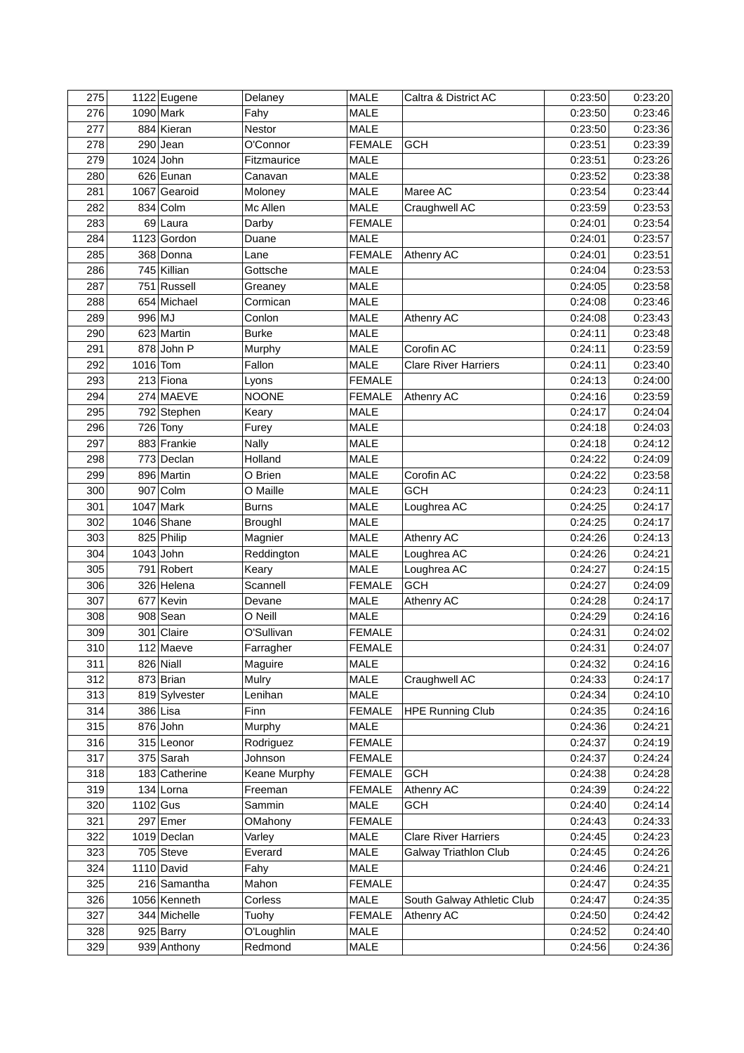| 275        |          | 1122 Eugene   | Delaney          | <b>MALE</b>         | Caltra & District AC         | 0:23:50 | 0:23:20 |
|------------|----------|---------------|------------------|---------------------|------------------------------|---------|---------|
| 276        |          | $1090$ Mark   | Fahy             | <b>MALE</b>         |                              | 0:23:50 | 0:23:46 |
| 277        |          | 884 Kieran    | Nestor           | MALE                |                              | 0:23:50 | 0:23:36 |
| 278        |          | $290$ Jean    | O'Connor         | <b>FEMALE</b>       | <b>GCH</b>                   | 0:23:51 | 0:23:39 |
| 279        |          | $1024$ John   | Fitzmaurice      | MALE                |                              | 0:23:51 | 0:23:26 |
| 280        |          | 626 Eunan     | Canavan          | <b>MALE</b>         |                              | 0:23:52 | 0:23:38 |
| 281        |          | 1067 Gearoid  | Moloney          | <b>MALE</b>         | Maree AC                     | 0:23:54 | 0:23:44 |
| 282        |          | $834$ Colm    | Mc Allen         | MALE                | Craughwell AC                | 0:23:59 | 0:23:53 |
| 283        |          | 69 Laura      | Darby            | <b>FEMALE</b>       |                              | 0:24:01 | 0:23:54 |
| 284        |          | 1123 Gordon   | Duane            | <b>MALE</b>         |                              | 0:24:01 | 0:23:57 |
| 285        |          | 368 Donna     | Lane             | <b>FEMALE</b>       | Athenry AC                   | 0:24:01 | 0:23:51 |
| 286        |          | 745 Killian   | Gottsche         | <b>MALE</b>         |                              | 0:24:04 | 0:23:53 |
| 287        |          | 751 Russell   | Greaney          | MALE                |                              | 0:24:05 | 0:23:58 |
| 288        |          | 654 Michael   | Cormican         | <b>MALE</b>         |                              | 0:24:08 | 0:23:46 |
| 289        | 996 MJ   |               | Conlon           | <b>MALE</b>         | Athenry AC                   | 0:24:08 | 0:23:43 |
| 290        |          | 623 Martin    | <b>Burke</b>     | MALE                |                              | 0:24:11 | 0:23:48 |
| 291        |          | 878 John P    | Murphy           | <b>MALE</b>         | Corofin AC                   | 0:24:11 | 0:23:59 |
| 292        | 1016 Tom |               | Fallon           | <b>MALE</b>         | <b>Clare River Harriers</b>  | 0:24:11 | 0:23:40 |
| 293        |          | 213 Fiona     | Lyons            | <b>FEMALE</b>       |                              | 0:24:13 | 0:24:00 |
| 294        |          | 274 MAEVE     | <b>NOONE</b>     | <b>FEMALE</b>       | <b>Athenry AC</b>            | 0:24:16 | 0:23:59 |
| 295        |          | 792 Stephen   | Keary            | <b>MALE</b>         |                              | 0:24:17 | 0:24:04 |
| 296        |          | 726 Tony      | Furey            | <b>MALE</b>         |                              | 0:24:18 | 0:24:03 |
| 297        |          | 883 Frankie   | Nally            | MALE                |                              | 0:24:18 | 0:24:12 |
| 298        |          | 773 Declan    | Holland          | MALE                |                              | 0:24:22 | 0:24:09 |
| 299        |          | 896 Martin    | O Brien          | <b>MALE</b>         | Corofin AC                   | 0:24:22 | 0:23:58 |
| 300        |          | $907$ Colm    | O Maille         | <b>MALE</b>         | <b>GCH</b>                   | 0:24:23 | 0:24:11 |
| 301        |          | 1047 Mark     | <b>Burns</b>     | <b>MALE</b>         | Loughrea AC                  | 0:24:25 | 0:24:17 |
| 302        |          | $1046$ Shane  | Broughl          | <b>MALE</b>         |                              | 0:24:25 | 0:24:17 |
| 303        |          | 825 Philip    | Magnier          | MALE                | Athenry AC                   | 0:24:26 | 0:24:13 |
| 304        |          | $1043$ John   | Reddington       | <b>MALE</b>         | Loughrea AC                  | 0:24:26 | 0:24:21 |
| 305        |          | 791 Robert    | Keary            | MALE                | Loughrea AC                  | 0:24:27 | 0:24:15 |
| 306        |          | 326 Helena    | Scannell         | <b>FEMALE</b>       | <b>GCH</b>                   | 0:24:27 | 0:24:09 |
| 307        |          | 677 Kevin     | Devane           | <b>MALE</b>         | Athenry AC                   | 0:24:28 | 0:24:17 |
| 308        |          | $908$ Sean    | O Neill          | <b>MALE</b>         |                              | 0:24:29 | 0:24:16 |
| 309        |          | 301 Claire    | O'Sullivan       | <b>FEMALE</b>       |                              | 0:24:31 | 0:24:02 |
| 310        |          | 112 Maeve     |                  | <b>FEMALE</b>       |                              | 0:24:31 | 0:24:07 |
| 311        |          |               | Farragher        |                     |                              |         | 0:24:16 |
|            |          | 826 Niall     | Maguire          | MALE<br><b>MALE</b> |                              | 0:24:32 | 0:24:17 |
| 312<br>313 |          | $873$ Brian   | Mulry<br>Lenihan |                     | Craughwell AC                | 0:24:33 | 0:24:10 |
|            |          | 819 Sylvester |                  | MALE                |                              | 0:24:34 |         |
| 314        |          | $386$ Lisa    | Finn             | <b>FEMALE</b>       | <b>HPE Running Club</b>      | 0:24:35 | 0:24:16 |
| 315        |          | $876$ John    | Murphy           | MALE                |                              | 0:24:36 | 0:24:21 |
| 316        |          | 315 Leonor    | Rodriguez        | <b>FEMALE</b>       |                              | 0:24:37 | 0:24:19 |
| 317        |          | $375$ Sarah   | Johnson          | <b>FEMALE</b>       |                              | 0:24:37 | 0:24:24 |
| 318        |          | 183 Catherine | Keane Murphy     | <b>FEMALE</b>       | <b>GCH</b>                   | 0:24:38 | 0:24:28 |
| 319        |          | $134$ Lorna   | Freeman          | <b>FEMALE</b>       | Athenry AC                   | 0:24:39 | 0:24:22 |
| 320        | 1102 Gus |               | Sammin           | MALE                | <b>GCH</b>                   | 0:24:40 | 0:24:14 |
| 321        |          | $297$ Emer    | OMahony          | <b>FEMALE</b>       |                              | 0:24:43 | 0:24:33 |
| 322        |          | $1019$ Declan | Varley           | <b>MALE</b>         | <b>Clare River Harriers</b>  | 0:24:45 | 0:24:23 |
| 323        |          | $705$ Steve   | Everard          | MALE                | <b>Galway Triathlon Club</b> | 0:24:45 | 0:24:26 |
| 324        |          | 1110 David    | Fahy             | MALE                |                              | 0:24:46 | 0:24:21 |
| 325        |          | 216 Samantha  | Mahon            | <b>FEMALE</b>       |                              | 0:24:47 | 0:24:35 |
| 326        |          | 1056 Kenneth  | Corless          | <b>MALE</b>         | South Galway Athletic Club   | 0:24:47 | 0:24:35 |
| 327        |          | 344 Michelle  | Tuohy            | <b>FEMALE</b>       | Athenry AC                   | 0:24:50 | 0:24:42 |
| 328        |          | 925 Barry     | O'Loughlin       | MALE                |                              | 0:24:52 | 0:24:40 |
| 329        |          | 939 Anthony   | Redmond          | MALE                |                              | 0:24:56 | 0:24:36 |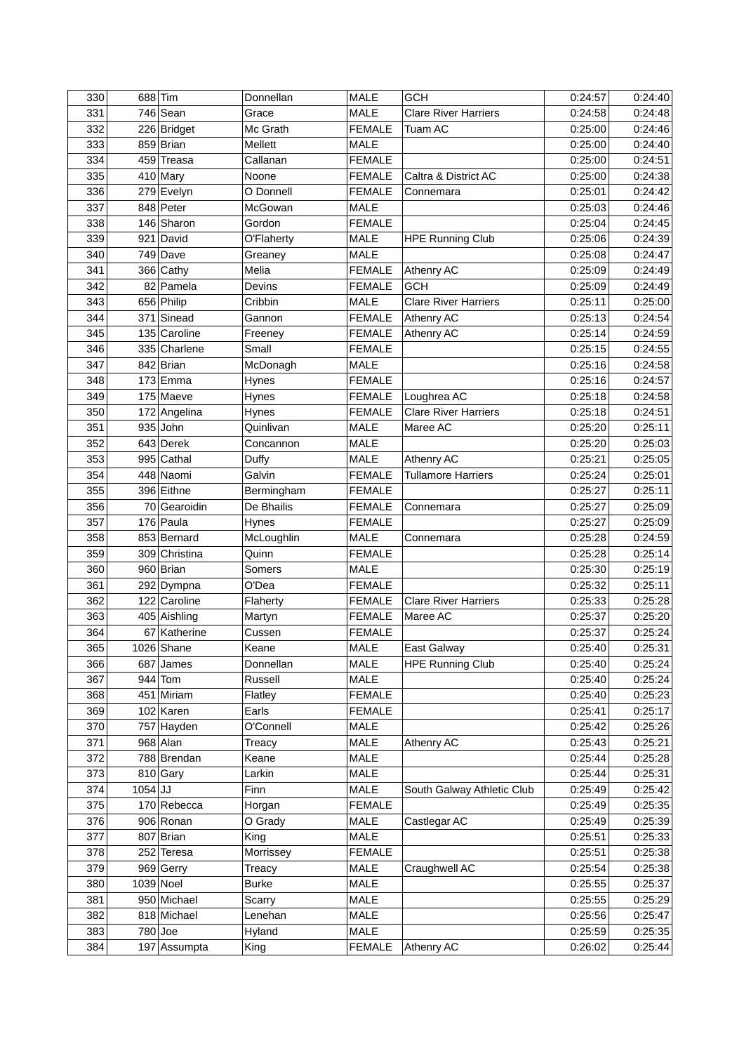| 330        |         | $688$ Tim              | Donnellan     | <b>MALE</b>   | <b>GCH</b>                  | 0:24:57 | 0:24:40 |
|------------|---------|------------------------|---------------|---------------|-----------------------------|---------|---------|
| 331        |         | $746$ Sean             | Grace         | <b>MALE</b>   | <b>Clare River Harriers</b> | 0:24:58 | 0:24:48 |
| 332        |         | 226 Bridget            | Mc Grath      | <b>FEMALE</b> | Tuam AC                     | 0:25:00 | 0:24:46 |
| 333        |         | 859 Brian              | Mellett       | <b>MALE</b>   |                             | 0:25:00 | 0:24:40 |
| 334        |         | 459 Treasa             | Callanan      | <b>FEMALE</b> |                             | 0:25:00 | 0:24:51 |
| 335        |         | $410$ Mary             | Noone         | <b>FEMALE</b> | Caltra & District AC        | 0:25:00 | 0:24:38 |
| 336        |         | 279 Evelyn             | O Donnell     | <b>FEMALE</b> | Connemara                   | 0:25:01 | 0:24:42 |
| 337        |         | 848 Peter              | McGowan       | <b>MALE</b>   |                             | 0:25:03 | 0:24:46 |
| 338        |         | 146 Sharon             | Gordon        | <b>FEMALE</b> |                             | 0:25:04 | 0:24:45 |
| 339        |         | 921 David              | O'Flaherty    | <b>MALE</b>   | <b>HPE Running Club</b>     | 0:25:06 | 0:24:39 |
| 340        |         | $749$ Dave             | Greaney       | <b>MALE</b>   |                             | 0:25:08 | 0:24:47 |
| 341        |         | 366 Cathy              | Melia         | <b>FEMALE</b> | <b>Athenry AC</b>           | 0:25:09 | 0:24:49 |
| 342        |         | 82 Pamela              | Devins        | <b>FEMALE</b> | <b>GCH</b>                  | 0:25:09 | 0:24:49 |
| 343        |         | 656 Philip             | Cribbin       | <b>MALE</b>   | <b>Clare River Harriers</b> | 0:25:11 | 0:25:00 |
| 344        |         | 371 Sinead             | Gannon        | <b>FEMALE</b> | <b>Athenry AC</b>           | 0:25:13 | 0:24:54 |
| 345        |         | 135 Caroline           | Freeney       | <b>FEMALE</b> | Athenry AC                  | 0:25:14 | 0:24:59 |
| 346        |         | 335 Charlene           | Small         | <b>FEMALE</b> |                             | 0:25:15 | 0:24:55 |
| 347        |         | 842 Brian              | McDonagh      | <b>MALE</b>   |                             | 0:25:16 | 0:24:58 |
| 348        |         | $173$ Emma             | <b>Hynes</b>  | <b>FEMALE</b> |                             | 0:25:16 | 0:24:57 |
| 349        |         | 175 Maeve              | Hynes         | <b>FEMALE</b> | Loughrea AC                 | 0:25:18 | 0:24:58 |
| 350        |         | 172 Angelina           | Hynes         | <b>FEMALE</b> | <b>Clare River Harriers</b> | 0:25:18 | 0:24:51 |
| 351        |         | $935$ John             | Quinlivan     | <b>MALE</b>   | Maree AC                    | 0:25:20 | 0:25:11 |
| 352        |         | 643 Derek              | Concannon     | MALE          |                             | 0:25:20 | 0:25:03 |
| 353        |         | 995 Cathal             | Duffy         | <b>MALE</b>   | Athenry AC                  | 0:25:21 | 0:25:05 |
| 354        |         | 448 Naomi              | Galvin        | <b>FEMALE</b> | <b>Tullamore Harriers</b>   | 0:25:24 | 0:25:01 |
| 355        |         | 396 Eithne             | Bermingham    | <b>FEMALE</b> |                             | 0:25:27 | 0:25:11 |
| 356        |         | 70 Gearoidin           | De Bhailis    | <b>FEMALE</b> | Connemara                   | 0:25:27 | 0:25:09 |
| 357        |         | $176$ Paula            | Hynes         | <b>FEMALE</b> |                             | 0:25:27 | 0:25:09 |
| 358        |         | 853 Bernard            | McLoughlin    | <b>MALE</b>   | Connemara                   | 0:25:28 | 0:24:59 |
| 359        |         | 309 Christina          | Quinn         | <b>FEMALE</b> |                             | 0:25:28 | 0:25:14 |
| 360        |         | $960$ Brian            | Somers        | <b>MALE</b>   |                             | 0:25:30 | 0:25:19 |
| 361        |         | 292 Dympna             | O'Dea         | <b>FEMALE</b> |                             | 0:25:32 | 0:25:11 |
| 362        |         | 122 Caroline           | Flaherty      | <b>FEMALE</b> | <b>Clare River Harriers</b> | 0:25:33 | 0:25:28 |
| 363        |         | 405 Aishling           | Martyn        | <b>FEMALE</b> | Maree AC                    | 0:25:37 | 0:25:20 |
| 364        |         | 67 Katherine           | Cussen        | <b>FEMALE</b> |                             | 0:25:37 | 0:25:24 |
| 365        |         | 1026 Shane             | Keane         | <b>MALE</b>   | East Galway                 | 0:25:40 | 0:25:31 |
| 366        |         | 687 James              | Donnellan     | <b>MALE</b>   | <b>HPE Running Club</b>     | 0:25:40 | 0:25:24 |
| 367        |         | $944$ Tom              | Russell       | MALE          |                             | 0:25:40 | 0:25:24 |
| 368        |         | 451 Miriam             | Flatley       | <b>FEMALE</b> |                             | 0:25:40 | 0:25:23 |
| 369        |         | 102 Karen              | Earls         | <b>FEMALE</b> |                             | 0:25:41 | 0:25:17 |
|            |         |                        | O'Connell     |               |                             | 0:25:42 | 0:25:26 |
| 370        |         | 757 Hayden<br>968 Alan |               | MALE          |                             |         | 0:25:21 |
| 371        |         |                        | Treacy        | MALE          | Athenry AC                  | 0:25:43 |         |
| 372<br>373 |         | 788 Brendan            | Keane         | MALE          |                             | 0:25:44 | 0:25:28 |
|            |         | $810$ Gary             | Larkin        | MALE          |                             | 0:25:44 | 0:25:31 |
| 374<br>375 | 1054 JJ |                        | Finn          | MALE          | South Galway Athletic Club  | 0:25:49 | 0:25:42 |
|            |         | 170 Rebecca            | Horgan        | <b>FEMALE</b> |                             | 0:25:49 | 0:25:35 |
| 376        |         | 906 Ronan              | O Grady       | <b>MALE</b>   | Castlegar AC                | 0:25:49 | 0:25:39 |
| 377        |         | 807 Brian              | King          | <b>MALE</b>   |                             | 0:25:51 | 0:25:33 |
| 378        |         | 252 Teresa             | Morrissey     | <b>FEMALE</b> |                             | 0:25:51 | 0:25:38 |
| 379        |         | 969 Gerry              | <b>Treacy</b> | MALE          | Craughwell AC               | 0:25:54 | 0:25:38 |
| 380        |         | $1039$ Noel            | <b>Burke</b>  | MALE          |                             | 0:25:55 | 0:25:37 |
| 381        |         | 950 Michael            | Scarry        | MALE          |                             | 0:25:55 | 0:25:29 |
| 382        |         | 818 Michael            | Lenehan       | MALE          |                             | 0:25:56 | 0:25:47 |
| 383        |         | 780 Joe                | Hyland        | MALE          |                             | 0:25:59 | 0:25:35 |
| 384        |         | 197 Assumpta           | King          | <b>FEMALE</b> | Athenry AC                  | 0:26:02 | 0:25:44 |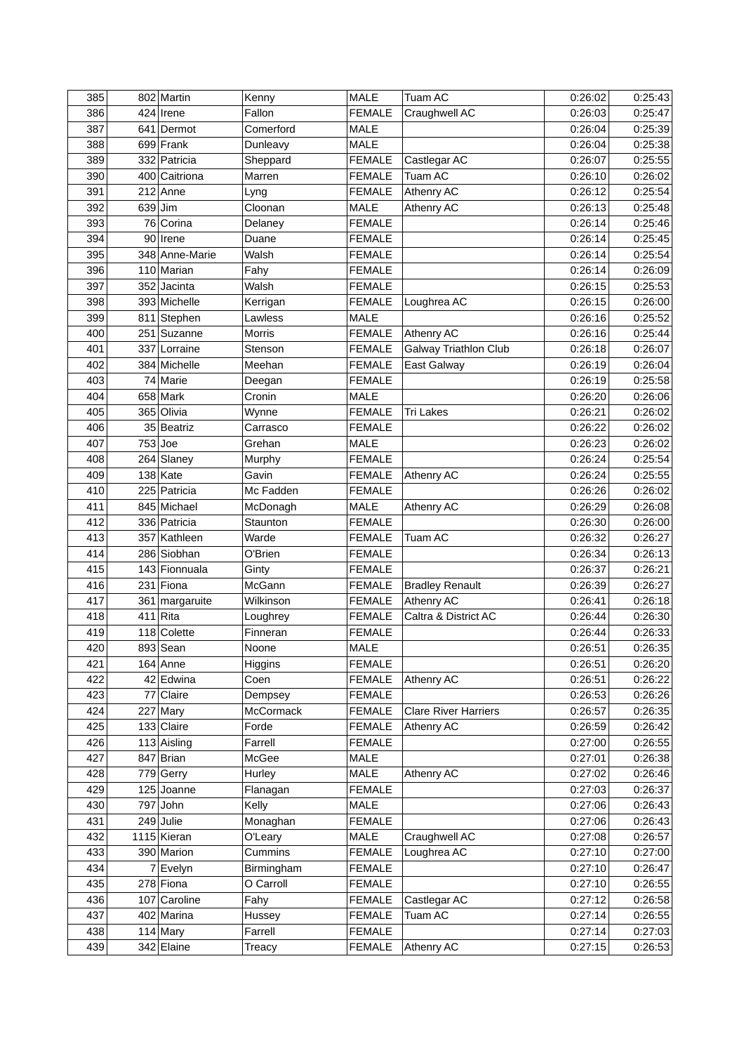| 385 | 802 Martin                 | Kenny                   | MALE                           | <b>Tuam AC</b>              | 0:26:02 | 0:25:43            |
|-----|----------------------------|-------------------------|--------------------------------|-----------------------------|---------|--------------------|
| 386 | 424 Irene                  | Fallon                  | <b>FEMALE</b>                  | Craughwell AC               | 0:26:03 | 0:25:47            |
| 387 | 641 Dermot                 | Comerford               | <b>MALE</b>                    |                             | 0:26:04 | 0:25:39            |
| 388 | 699 Frank                  | Dunleavy                | <b>MALE</b>                    |                             | 0:26:04 | 0:25:38            |
| 389 | 332 Patricia               | Sheppard                | <b>FEMALE</b>                  | Castlegar AC                | 0:26:07 | 0:25:55            |
| 390 | 400 Caitriona              | Marren                  | <b>FEMALE</b>                  | Tuam AC                     | 0:26:10 | 0:26:02            |
| 391 | $212$ Anne                 | Lyng                    | <b>FEMALE</b>                  | Athenry AC                  | 0:26:12 | 0:25:54            |
| 392 | $639$ Jim                  | Cloonan                 | MALE                           | Athenry AC                  | 0:26:13 | 0:25:48            |
| 393 | 76 Corina                  | Delaney                 | <b>FEMALE</b>                  |                             | 0:26:14 | 0:25:46            |
| 394 | 90 Irene                   | Duane                   | <b>FEMALE</b>                  |                             | 0:26:14 | 0:25:45            |
| 395 | 348 Anne-Marie             | Walsh                   | <b>FEMALE</b>                  |                             | 0:26:14 | 0:25:54            |
| 396 | 110 Marian                 | Fahy                    | <b>FEMALE</b>                  |                             | 0:26:14 | 0:26:09            |
| 397 | 352 Jacinta                | Walsh                   | <b>FEMALE</b>                  |                             | 0:26:15 | 0:25:53            |
| 398 | 393 Michelle               | Kerrigan                | <b>FEMALE</b>                  | Loughrea AC                 | 0:26:15 | 0:26:00            |
| 399 | 811 Stephen                | Lawless                 | <b>MALE</b>                    |                             | 0:26:16 | 0:25:52            |
| 400 | 251 Suzanne                | Morris                  | <b>FEMALE</b>                  | <b>Athenry AC</b>           | 0:26:16 | 0:25:44            |
| 401 | 337 Lorraine               | Stenson                 | <b>FEMALE</b>                  | Galway Triathlon Club       | 0:26:18 | 0:26:07            |
| 402 | 384 Michelle               | Meehan                  | <b>FEMALE</b>                  | East Galway                 | 0:26:19 | 0:26:04            |
| 403 | 74 Marie                   | Deegan                  | <b>FEMALE</b>                  |                             | 0:26:19 | 0:25:58            |
| 404 | $658$ Mark                 | Cronin                  | <b>MALE</b>                    |                             | 0:26:20 | 0:26:06            |
| 405 | 365 Olivia                 | Wynne                   | <b>FEMALE</b>                  | <b>Tri Lakes</b>            | 0:26:21 | 0:26:02            |
| 406 | 35 Beatriz                 | Carrasco                | <b>FEMALE</b>                  |                             | 0:26:22 | 0:26:02            |
| 407 | $753$ Joe                  | Grehan                  | <b>MALE</b>                    |                             | 0:26:23 | 0:26:02            |
| 408 | $264$ Slaney               | Murphy                  | <b>FEMALE</b>                  |                             | 0:26:24 | 0:25:54            |
| 409 | $138$ Kate                 | Gavin                   | <b>FEMALE</b>                  | <b>Athenry AC</b>           | 0:26:24 | 0:25:55            |
| 410 | 225 Patricia               | Mc Fadden               | <b>FEMALE</b>                  |                             | 0:26:26 | 0:26:02            |
| 411 | 845 Michael                | McDonagh                | <b>MALE</b>                    | Athenry AC                  | 0:26:29 | 0:26:08            |
| 412 | 336 Patricia               | Staunton                | <b>FEMALE</b>                  |                             | 0:26:30 | 0:26:00            |
| 413 | 357 Kathleen               | Warde                   | <b>FEMALE</b>                  | <b>Tuam AC</b>              | 0:26:32 | 0:26:27            |
| 414 | 286 Siobhan                | O'Brien                 | <b>FEMALE</b>                  |                             | 0:26:34 | 0:26:13            |
| 415 | 143 Fionnuala              | Ginty                   | <b>FEMALE</b>                  |                             | 0:26:37 | 0:26:21            |
| 416 | 231 Fiona                  | McGann                  | <b>FEMALE</b>                  | <b>Bradley Renault</b>      | 0:26:39 | 0:26:27            |
| 417 | 361 margaruite             | Wilkinson               | <b>FEMALE</b>                  | Athenry AC                  | 0:26:41 | 0:26:18            |
| 418 | $411$ Rita                 | Loughrey                | <b>FEMALE</b>                  | Caltra & District AC        | 0:26:44 | 0:26:30            |
| 419 | 118 Colette                | Finneran                | <b>FEMALE</b>                  |                             | 0:26:44 | 0:26:33            |
| 420 | 893 Sean                   | Noone                   | <b>MALE</b>                    |                             | 0:26:51 | 0:26:35            |
| 421 | $164$ Anne                 | Higgins                 | <b>FEMALE</b>                  |                             | 0:26:51 | 0:26:20            |
| 422 | 42 Edwina                  | Coen                    | <b>FEMALE</b>                  | Athenry AC                  | 0:26:51 | 0:26:22            |
| 423 | 77 Claire                  | Dempsey                 | <b>FEMALE</b>                  |                             | 0:26:53 | 0:26:26            |
| 424 | $227$ Mary                 | McCormack               | <b>FEMALE</b>                  | <b>Clare River Harriers</b> | 0:26:57 | 0:26:35            |
| 425 | 133 Claire                 | Forde                   | <b>FEMALE</b>                  | Athenry AC                  | 0:26:59 | 0:26:42            |
| 426 | 113 Aisling                | Farrell                 | <b>FEMALE</b>                  |                             | 0:27:00 | 0:26:55            |
| 427 | $847$ Brian                | McGee                   | MALE                           |                             | 0:27:01 | 0:26:38            |
| 428 | 779 Gerry                  | Hurley                  | MALE                           | Athenry AC                  | 0:27:02 | 0:26:46            |
| 429 | 125 Joanne                 | Flanagan                | <b>FEMALE</b>                  |                             | 0:27:03 | 0:26:37            |
| 430 | $797$ John                 | Kelly                   | <b>MALE</b>                    |                             | 0:27:06 | 0:26:43            |
| 431 | $249$ Julie                |                         | <b>FEMALE</b>                  |                             | 0:27:06 | 0:26:43            |
| 432 | 1115 Kieran                | Monaghan<br>O'Leary     | <b>MALE</b>                    | Craughwell AC               | 0:27:08 | 0:26:57            |
| 433 | 390 Marion                 | Cummins                 | <b>FEMALE</b>                  | Loughrea AC                 | 0:27:10 | 0:27:00            |
| 434 | $7$ Evelyn                 |                         | <b>FEMALE</b>                  |                             | 0:27:10 | 0:26:47            |
| 435 | 278 Fiona                  | Birmingham<br>O Carroll | <b>FEMALE</b>                  |                             | 0:27:10 | 0:26:55            |
| 436 |                            |                         |                                | Castlegar AC                | 0:27:12 |                    |
| 437 | 107 Caroline<br>402 Marina | Fahy                    | <b>FEMALE</b>                  | Tuam AC                     | 0:27:14 | 0:26:58            |
| 438 | $114$ Mary                 | Hussey<br>Farrell       | <b>FEMALE</b><br><b>FEMALE</b> |                             | 0:27:14 | 0:26:55<br>0:27:03 |
|     |                            |                         |                                |                             |         |                    |
| 439 | 342 Elaine                 | Treacy                  | <b>FEMALE</b>                  | Athenry AC                  | 0:27:15 | 0:26:53            |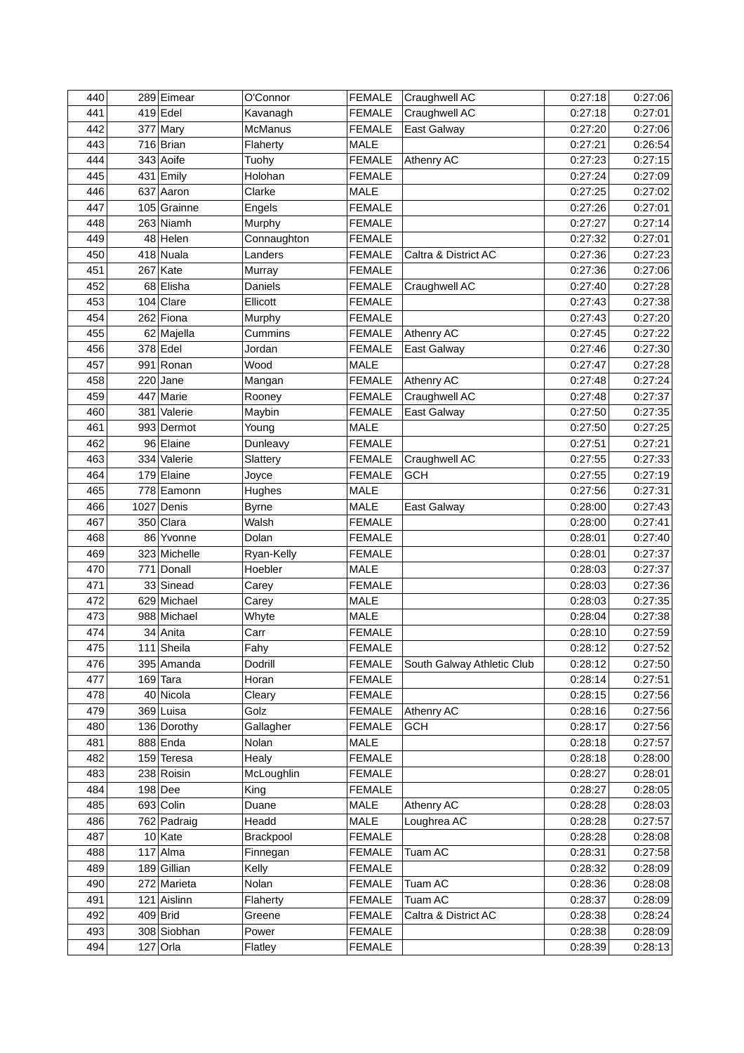| 440 | 289 Eimear   | O'Connor               | <b>FEMALE</b> | Craughwell AC              | 0:27:18            | 0:27:06 |
|-----|--------------|------------------------|---------------|----------------------------|--------------------|---------|
| 441 | $419$ Edel   | Kavanagh               | <b>FEMALE</b> | Craughwell AC              | 0:27:18            | 0:27:01 |
| 442 | $377$ Mary   | McManus                | <b>FEMALE</b> | East Galway                | 0:27:20            | 0:27:06 |
| 443 | 716 Brian    | Flaherty               | <b>MALE</b>   |                            | 0:27:21            | 0:26:54 |
| 444 | 343 Aoife    | Tuohy                  | <b>FEMALE</b> | Athenry AC                 | 0:27:23            | 0:27:15 |
| 445 | 431 Emily    | Holohan                | <b>FEMALE</b> |                            | 0:27:24            | 0:27:09 |
| 446 | 637 Aaron    | Clarke                 | <b>MALE</b>   |                            | 0:27:25            | 0:27:02 |
| 447 | 105 Grainne  | Engels                 | <b>FEMALE</b> |                            | 0:27:26            | 0:27:01 |
| 448 | 263 Niamh    | Murphy                 | <b>FEMALE</b> |                            | 0:27:27            | 0:27:14 |
| 449 | 48 Helen     | Connaughton            | <b>FEMALE</b> |                            | 0:27:32            | 0:27:01 |
| 450 | $418$ Nuala  | Landers                | <b>FEMALE</b> | Caltra & District AC       | 0:27:36            | 0:27:23 |
| 451 | $267$ Kate   | Murray                 | <b>FEMALE</b> |                            | 0:27:36            | 0:27:06 |
| 452 | 68 Elisha    | Daniels                | <b>FEMALE</b> | Craughwell AC              | 0:27:40            | 0:27:28 |
| 453 | $104$ Clare  | Ellicott               | <b>FEMALE</b> |                            | 0:27:43            | 0:27:38 |
| 454 | 262 Fiona    | Murphy                 | <b>FEMALE</b> |                            | 0:27:43            | 0:27:20 |
| 455 | 62 Majella   | Cummins                | <b>FEMALE</b> | Athenry AC                 | 0:27:45            | 0:27:22 |
| 456 | $378$ Edel   | Jordan                 | <b>FEMALE</b> | East Galway                | 0:27:46            | 0:27:30 |
| 457 | 991 Ronan    | Wood                   | <b>MALE</b>   |                            | 0:27:47            | 0:27:28 |
| 458 | $220$ Jane   | Mangan                 | <b>FEMALE</b> | <b>Athenry AC</b>          | 0:27:48            | 0:27:24 |
| 459 | 447 Marie    | Rooney                 | <b>FEMALE</b> | Craughwell AC              | 0:27:48            | 0:27:37 |
| 460 | 381 Valerie  | Maybin                 | <b>FEMALE</b> | East Galway                | 0:27:50            | 0:27:35 |
| 461 | 993 Dermot   | Young                  | <b>MALE</b>   |                            | 0:27:50            | 0:27:25 |
| 462 | 96 Elaine    | Dunleavy               | <b>FEMALE</b> |                            | 0:27:51            | 0:27:21 |
| 463 | 334 Valerie  | Slattery               | <b>FEMALE</b> | Craughwell AC              | 0:27:55            | 0:27:33 |
| 464 | $179$ Elaine | Joyce                  | <b>FEMALE</b> | <b>GCH</b>                 | 0:27:55            | 0:27:19 |
| 465 | 778 Eamonn   | Hughes                 | <b>MALE</b>   |                            | 0:27:56            | 0:27:31 |
| 466 | 1027 Denis   | <b>Byrne</b>           | MALE          | East Galway                | 0:28:00            | 0:27:43 |
| 467 | 350 Clara    | Walsh                  | <b>FEMALE</b> |                            | 0:28:00            | 0:27:41 |
| 468 | 86 Yvonne    | Dolan                  | <b>FEMALE</b> |                            | 0:28:01            | 0:27:40 |
| 469 | 323 Michelle | Ryan-Kelly             | <b>FEMALE</b> |                            | 0:28:01            | 0:27:37 |
| 470 | 771 Donall   | Hoebler                | <b>MALE</b>   |                            | 0:28:03            | 0:27:37 |
| 471 | 33 Sinead    | Carey                  | <b>FEMALE</b> |                            | 0:28:03            | 0:27:36 |
| 472 | 629 Michael  |                        | <b>MALE</b>   |                            | 0:28:03            | 0:27:35 |
| 473 | 988 Michael  | Carey<br>Whyte         | <b>MALE</b>   |                            | 0:28:04            | 0:27:38 |
| 474 | 34 Anita     | Carr                   | <b>FEMALE</b> |                            | 0:28:10            | 0:27:59 |
| 475 | 111 Sheila   |                        |               |                            |                    | 0:27:52 |
| 476 |              | Fahy<br><b>Dodrill</b> | <b>FEMALE</b> |                            | 0:28:12<br>0:28:12 | 0:27:50 |
|     | 395 Amanda   |                        | <b>FEMALE</b> | South Galway Athletic Club |                    | 0:27:51 |
| 477 | $169$ Tara   | Horan                  | <b>FEMALE</b> |                            | 0:28:14            |         |
| 478 | 40 Nicola    | Cleary                 | <b>FEMALE</b> |                            | 0:28:15            | 0:27:56 |
| 479 | 369 Luisa    | Golz                   | <b>FEMALE</b> | Athenry AC                 | 0:28:16            | 0:27:56 |
| 480 | 136 Dorothy  | Gallagher              | <b>FEMALE</b> | <b>GCH</b>                 | 0:28:17            | 0:27:56 |
| 481 | 888 Enda     | Nolan                  | <b>MALE</b>   |                            | 0:28:18            | 0:27:57 |
| 482 | 159 Teresa   | Healy                  | <b>FEMALE</b> |                            | 0:28:18            | 0:28:00 |
| 483 | 238 Roisin   | McLoughlin             | <b>FEMALE</b> |                            | 0:28:27            | 0:28:01 |
| 484 | $198$ Dee    | King                   | <b>FEMALE</b> |                            | 0:28:27            | 0:28:05 |
| 485 | 693 Colin    | Duane                  | <b>MALE</b>   | Athenry AC                 | 0:28:28            | 0:28:03 |
| 486 | 762 Padraig  | Headd                  | <b>MALE</b>   | Loughrea AC                | 0:28:28            | 0:27:57 |
| 487 | 10 Kate      | Brackpool              | <b>FEMALE</b> |                            | 0:28:28            | 0:28:08 |
| 488 | $117$ Alma   | Finnegan               | <b>FEMALE</b> | Tuam AC                    | 0:28:31            | 0:27:58 |
| 489 | 189 Gillian  | Kelly                  | <b>FEMALE</b> |                            | 0:28:32            | 0:28:09 |
| 490 | 272 Marieta  | Nolan                  | <b>FEMALE</b> | Tuam AC                    | 0:28:36            | 0:28:08 |
| 491 | 121 Aislinn  | Flaherty               | <b>FEMALE</b> | Tuam AC                    | 0:28:37            | 0:28:09 |
| 492 | 409 Brid     | Greene                 | <b>FEMALE</b> | Caltra & District AC       | 0:28:38            | 0:28:24 |
| 493 | 308 Siobhan  | Power                  | <b>FEMALE</b> |                            | 0:28:38            | 0:28:09 |
| 494 | $127$ Orla   | Flatley                | <b>FEMALE</b> |                            | 0:28:39            | 0:28:13 |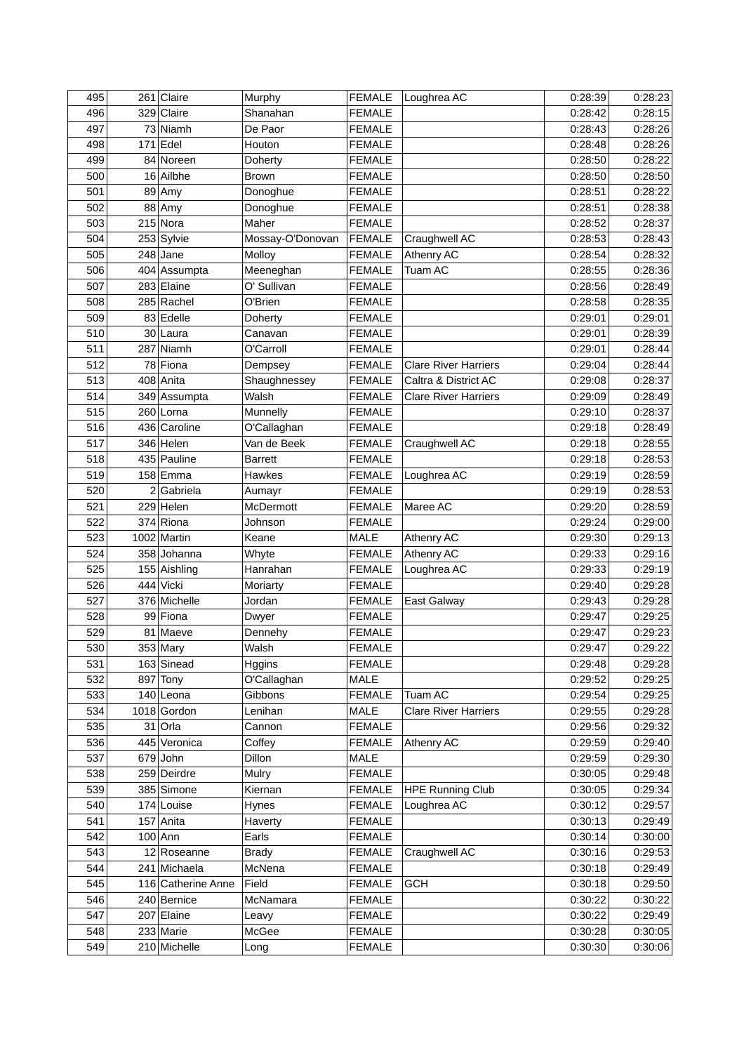| 495 | 261 Claire                 | Murphy                     | <b>FEMALE</b> | Loughrea AC                 | 0:28:39 | 0:28:23            |
|-----|----------------------------|----------------------------|---------------|-----------------------------|---------|--------------------|
| 496 | 329 Claire                 | Shanahan                   | <b>FEMALE</b> |                             | 0:28:42 | 0:28:15            |
| 497 | 73 Niamh                   | De Paor                    | <b>FEMALE</b> |                             | 0:28:43 | 0:28:26            |
| 498 | $171$ Edel                 | Houton                     | <b>FEMALE</b> |                             | 0:28:48 | 0:28:26            |
| 499 | 84 Noreen                  | Doherty                    | <b>FEMALE</b> |                             | 0:28:50 | 0:28:22            |
| 500 | 16 Ailbhe                  | <b>Brown</b>               | <b>FEMALE</b> |                             | 0:28:50 | 0:28:50            |
| 501 | $89$ Amy                   | Donoghue                   | <b>FEMALE</b> |                             | 0:28:51 | 0:28:22            |
| 502 | 88 Amy                     | Donoghue                   | <b>FEMALE</b> |                             | 0:28:51 | 0:28:38            |
| 503 | $215$ Nora                 | Maher                      | <b>FEMALE</b> |                             | 0:28:52 | 0:28:37            |
| 504 | 253 Sylvie                 | Mossay-O'Donovan           | <b>FEMALE</b> | Craughwell AC               | 0:28:53 | 0:28:43            |
| 505 | $248$ Jane                 | Molloy                     | <b>FEMALE</b> | Athenry AC                  | 0:28:54 | 0:28:32            |
| 506 | 404 Assumpta               | Meeneghan                  | <b>FEMALE</b> | Tuam AC                     | 0:28:55 | 0:28:36            |
| 507 | 283 Elaine                 | O' Sullivan                | <b>FEMALE</b> |                             | 0:28:56 | 0:28:49            |
| 508 | 285 Rachel                 | O'Brien                    | <b>FEMALE</b> |                             | 0:28:58 | 0:28:35            |
| 509 | 83 Edelle                  | Doherty                    | <b>FEMALE</b> |                             | 0:29:01 | 0:29:01            |
| 510 | 30 Laura                   | Canavan                    | <b>FEMALE</b> |                             | 0:29:01 | 0:28:39            |
| 511 | 287 Niamh                  | O'Carroll                  | <b>FEMALE</b> |                             | 0:29:01 | 0:28:44            |
| 512 | 78 Fiona                   | Dempsey                    | <b>FEMALE</b> | <b>Clare River Harriers</b> | 0:29:04 | 0:28:44            |
| 513 | 408 Anita                  | Shaughnessey               | <b>FEMALE</b> | Caltra & District AC        | 0:29:08 | 0:28:37            |
| 514 | 349 Assumpta               | Walsh                      | <b>FEMALE</b> | <b>Clare River Harriers</b> | 0:29:09 | 0:28:49            |
| 515 | 260 Lorna                  | Munnelly                   | <b>FEMALE</b> |                             | 0:29:10 | 0:28:37            |
| 516 | 436 Caroline               | O'Callaghan                | <b>FEMALE</b> |                             | 0:29:18 | 0:28:49            |
| 517 | 346 Helen                  | Van de Beek                | <b>FEMALE</b> | Craughwell AC               | 0:29:18 | 0:28:55            |
| 518 | 435 Pauline                | <b>Barrett</b>             | <b>FEMALE</b> |                             | 0:29:18 | 0:28:53            |
| 519 | $158$ Emma                 | Hawkes                     | <b>FEMALE</b> | Loughrea AC                 | 0:29:19 | 0:28:59            |
| 520 | $2 $ Gabriela              |                            | <b>FEMALE</b> |                             | 0:29:19 | 0:28:53            |
| 521 | $229$ Helen                | Aumayr<br><b>McDermott</b> |               | Maree AC                    | 0:29:20 | 0:28:59            |
| 522 | 374 Riona                  | Johnson                    | <b>FEMALE</b> |                             | 0:29:24 | 0:29:00            |
|     |                            |                            | <b>FEMALE</b> |                             |         |                    |
| 523 | 1002 Martin<br>358 Johanna | Keane                      | MALE          | Athenry AC                  | 0:29:30 | 0:29:13<br>0:29:16 |
| 524 |                            | Whyte                      | <b>FEMALE</b> | Athenry AC                  | 0:29:33 |                    |
| 525 | 155 Aishling               | Hanrahan                   | <b>FEMALE</b> | Loughrea AC                 | 0:29:33 | 0:29:19            |
| 526 | 444 Vicki                  | Moriarty                   | <b>FEMALE</b> |                             | 0:29:40 | 0:29:28            |
| 527 | 376 Michelle               | Jordan                     | <b>FEMALE</b> | East Galway                 | 0:29:43 | 0:29:28            |
| 528 | 99 Fiona                   | Dwyer                      | <b>FEMALE</b> |                             | 0:29:47 | 0:29:25            |
| 529 | 81 Maeve                   | Dennehy                    | <b>FEMALE</b> |                             | 0:29:47 | 0:29:23            |
| 530 | 353 Mary                   | Walsh                      | <b>FEMALE</b> |                             | 0:29:47 | 0:29:22            |
| 531 | 163 Sinead                 | Hggins                     | <b>FEMALE</b> |                             | 0:29:48 | 0:29:28            |
| 532 | $897$ Tony                 | O'Callaghan                | MALE          |                             | 0:29:52 | 0:29:25            |
| 533 | $140$  Leona               | Gibbons                    | <b>FEMALE</b> | Tuam AC                     | 0:29:54 | 0:29:25            |
| 534 | 1018 Gordon                | Lenihan                    | MALE          | <b>Clare River Harriers</b> | 0:29:55 | 0:29:28            |
| 535 | $31$ Orla                  | Cannon                     | <b>FEMALE</b> |                             | 0:29:56 | 0:29:32            |
| 536 | 445 Veronica               | Coffey                     | <b>FEMALE</b> | Athenry AC                  | 0:29:59 | 0:29:40            |
| 537 | 679 John                   | Dillon                     | <b>MALE</b>   |                             | 0:29:59 | 0:29:30            |
| 538 | 259 Deirdre                | Mulry                      | <b>FEMALE</b> |                             | 0:30:05 | 0:29:48            |
| 539 | 385 Simone                 | Kiernan                    | <b>FEMALE</b> | <b>HPE Running Club</b>     | 0:30:05 | 0:29:34            |
| 540 | 174 Louise                 | Hynes                      | <b>FEMALE</b> | Loughrea AC                 | 0:30:12 | 0:29:57            |
| 541 | 157 Anita                  | Haverty                    | <b>FEMALE</b> |                             | 0:30:13 | 0:29:49            |
| 542 | $100$ Ann                  | Earls                      | <b>FEMALE</b> |                             | 0:30:14 | 0:30:00            |
| 543 | 12 Roseanne                | <b>Brady</b>               | <b>FEMALE</b> | Craughwell AC               | 0:30:16 | 0:29:53            |
| 544 | 241 Michaela               | McNena                     | <b>FEMALE</b> |                             | 0:30:18 | 0:29:49            |
| 545 | 116 Catherine Anne         | Field                      | <b>FEMALE</b> | <b>GCH</b>                  | 0:30:18 | 0:29:50            |
| 546 | 240 Bernice                | McNamara                   | <b>FEMALE</b> |                             | 0:30:22 | 0:30:22            |
| 547 | 207 Elaine                 | Leavy                      | <b>FEMALE</b> |                             | 0:30:22 | 0:29:49            |
| 548 | 233 Marie                  | McGee                      | <b>FEMALE</b> |                             | 0:30:28 | 0:30:05            |
| 549 | 210 Michelle               | Long                       | <b>FEMALE</b> |                             | 0:30:30 | 0:30:06            |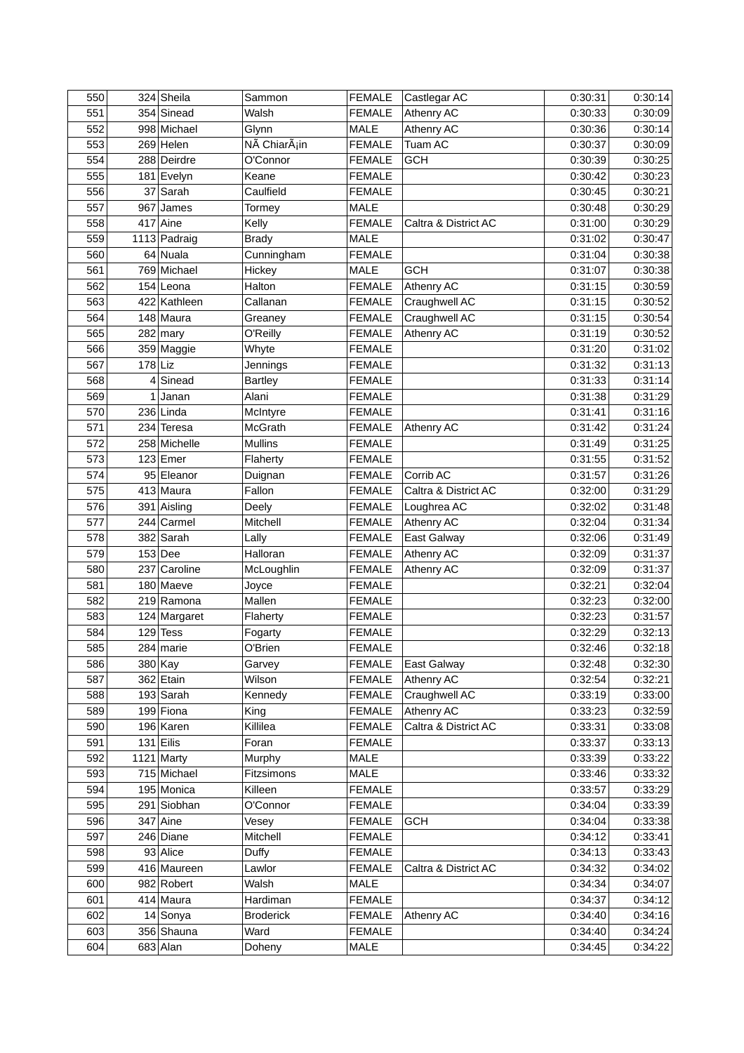| 550        |           | 324 Sheila             | Sammon                    | <b>FEMALE</b>                  | Castlegar AC                       | 0:30:31            | 0:30:14            |
|------------|-----------|------------------------|---------------------------|--------------------------------|------------------------------------|--------------------|--------------------|
| 551        |           | 354 Sinead             | Walsh                     | <b>FEMALE</b>                  | <b>Athenry AC</b>                  | 0:30:33            | 0:30:09            |
| 552        |           | 998 Michael            | Glynn                     | MALE                           | Athenry AC                         | 0:30:36            | 0:30:14            |
| 553        |           | $269$ Helen            | NÃ ChiarÃ <sub>i</sub> in | <b>FEMALE</b>                  | Tuam AC                            | 0:30:37            | 0:30:09            |
| 554        |           | 288 Deirdre            | O'Connor                  | <b>FEMALE</b>                  | <b>GCH</b>                         | 0:30:39            | 0:30:25            |
| 555        |           | 181 Evelyn             | Keane                     | <b>FEMALE</b>                  |                                    | 0:30:42            | 0:30:23            |
| 556        |           | 37 Sarah               | Caulfield                 | <b>FEMALE</b>                  |                                    | 0:30:45            | 0:30:21            |
| 557        |           | $967$ James            | Tormey                    | <b>MALE</b>                    |                                    | 0:30:48            | 0:30:29            |
| 558        |           | $417$ Aine             | Kelly                     | <b>FEMALE</b>                  | Caltra & District AC               | 0:31:00            | 0:30:29            |
| 559        |           | 1113 Padraig           | <b>Brady</b>              | MALE                           |                                    | 0:31:02            | 0:30:47            |
| 560        |           | $64$ Nuala             | Cunningham                | <b>FEMALE</b>                  |                                    | 0:31:04            | 0:30:38            |
| 561        |           | 769 Michael            | Hickey                    | <b>MALE</b>                    | <b>GCH</b>                         | 0:31:07            | 0:30:38            |
| 562        |           | $154$ Leona            | Halton                    | <b>FEMALE</b>                  | <b>Athenry AC</b>                  | 0:31:15            | 0:30:59            |
| 563        |           | 422 Kathleen           | Callanan                  | <b>FEMALE</b>                  | Craughwell AC                      | 0:31:15            | 0:30:52            |
| 564        |           | 148 Maura              | Greaney                   | <b>FEMALE</b>                  | Craughwell AC                      | 0:31:15            | 0:30:54            |
| 565        |           | $282$ mary             | O'Reilly                  | <b>FEMALE</b>                  | Athenry AC                         | 0:31:19            | 0:30:52            |
| 566        |           | 359 Maggie             | Whyte                     | <b>FEMALE</b>                  |                                    | 0:31:20            | 0:31:02            |
| 567        | $178$ Liz |                        | Jennings                  | <b>FEMALE</b>                  |                                    | 0:31:32            | 0:31:13            |
| 568        |           | $4$ Sinead             | <b>Bartley</b>            | <b>FEMALE</b>                  |                                    | 0:31:33            | 0:31:14            |
| 569        |           | $1$ Janan              | Alani                     | <b>FEMALE</b>                  |                                    | 0:31:38            | 0:31:29            |
| 570        |           | 236 Linda              | McIntyre                  | <b>FEMALE</b>                  |                                    | 0:31:41            | 0:31:16            |
| 571        |           | 234 Teresa             | McGrath                   | <b>FEMALE</b>                  | Athenry AC                         | 0:31:42            | 0:31:24            |
| 572        |           | 258 Michelle           | <b>Mullins</b>            | <b>FEMALE</b>                  |                                    | 0:31:49            | 0:31:25            |
| 573        |           | $123$ Emer             | Flaherty                  | <b>FEMALE</b>                  |                                    | 0:31:55            | 0:31:52            |
| 574        |           | 95 Eleanor             | Duignan                   | <b>FEMALE</b>                  | Corrib AC                          | 0:31:57            | 0:31:26            |
| 575        |           | 413 Maura              | Fallon                    | <b>FEMALE</b>                  | Caltra & District AC               | 0:32:00            | 0:31:29            |
| 576        |           | 391 Aisling            | Deely                     | <b>FEMALE</b>                  | Loughrea AC                        | 0:32:02            | 0:31:48            |
| 577        |           | 244 Carmel             | Mitchell                  | <b>FEMALE</b>                  | Athenry AC                         | 0:32:04            | 0:31:34            |
| 578        |           | 382 Sarah              | Lally                     | <b>FEMALE</b>                  | East Galway                        | 0:32:06            | 0:31:49            |
| 579        |           | $153$ Dee              | Halloran                  | <b>FEMALE</b>                  | Athenry AC                         | 0:32:09            | 0:31:37            |
| 580        |           | 237 Caroline           | McLoughlin                | <b>FEMALE</b>                  | Athenry AC                         | 0:32:09            | 0:31:37            |
| 581        |           | 180 Maeve              | Joyce                     | <b>FEMALE</b>                  |                                    | 0:32:21            | 0:32:04            |
| 582        |           | 219 Ramona             | Mallen                    | <b>FEMALE</b>                  |                                    | 0:32:23            | 0:32:00            |
| 583        |           | 124 Margaret           | Flaherty                  | <b>FEMALE</b>                  |                                    | 0:32:23            | 0:31:57            |
| 584        |           | $129$ Tess             | Fogarty                   | <b>FEMALE</b>                  |                                    | 0:32:29            | 0:32:13            |
| 585        |           | 284 marie              | O'Brien                   | <b>FEMALE</b>                  |                                    | 0:32:46            | 0:32:18            |
| 586        |           | 380 Kay                | Garvey                    | <b>FEMALE</b>                  | East Galway                        | 0:32:48            | 0:32:30            |
| 587        |           | 362 Etain              | Wilson                    | <b>FEMALE</b>                  | Athenry AC                         | 0:32:54            | 0:32:21            |
| 588        |           | $193$ Sarah            | Kennedy                   | <b>FEMALE</b>                  | Craughwell AC                      | 0:33:19            | 0:33:00            |
|            |           |                        |                           |                                |                                    |                    |                    |
| 589<br>590 |           | 199 Fiona<br>196 Karen | King<br>Killilea          | <b>FEMALE</b><br><b>FEMALE</b> | Athenry AC<br>Caltra & District AC | 0:33:23<br>0:33:31 | 0:32:59<br>0:33:08 |
| 591        |           | $131$ Eilis            |                           |                                |                                    | 0:33:37            | 0:33:13            |
|            |           |                        | Foran                     | <b>FEMALE</b>                  |                                    |                    |                    |
| 592        |           | $1121$ Marty           | Murphy                    | <b>MALE</b>                    |                                    | 0:33:39            | 0:33:22            |
| 593        |           | 715 Michael            | Fitzsimons                | MALE                           |                                    | 0:33:46            | 0:33:32            |
| 594        |           | 195 Monica             | Killeen                   | <b>FEMALE</b>                  |                                    | 0:33:57            | 0:33:29            |
| 595        |           | 291 Siobhan            | O'Connor                  | <b>FEMALE</b>                  |                                    | 0:34:04            | 0:33:39            |
| 596        |           | $347$ Aine             | Vesey                     | <b>FEMALE</b>                  | <b>GCH</b>                         | 0:34:04            | 0:33:38            |
| 597        |           | 246 Diane              | Mitchell                  | <b>FEMALE</b>                  |                                    | 0:34:12            | 0:33:41            |
| 598        |           | 93 Alice               | Duffy                     | <b>FEMALE</b>                  |                                    | 0:34:13            | 0:33:43            |
| 599        |           | 416 Maureen            | Lawlor                    | <b>FEMALE</b>                  | Caltra & District AC               | 0:34:32            | 0:34:02            |
| 600        |           | 982 Robert             | Walsh                     | <b>MALE</b>                    |                                    | 0:34:34            | 0:34:07            |
| 601        |           | 414 Maura              | Hardiman                  | <b>FEMALE</b>                  |                                    | 0:34:37            | 0:34:12            |
| 602        |           | 14 Sonya               | <b>Broderick</b>          | <b>FEMALE</b>                  | Athenry AC                         | 0:34:40            | 0:34:16            |
| 603        |           | 356 Shauna             | Ward                      | <b>FEMALE</b>                  |                                    | 0:34:40            | 0:34:24            |
| 604        |           | 683 Alan               | Doheny                    | MALE                           |                                    | 0:34:45            | 0:34:22            |